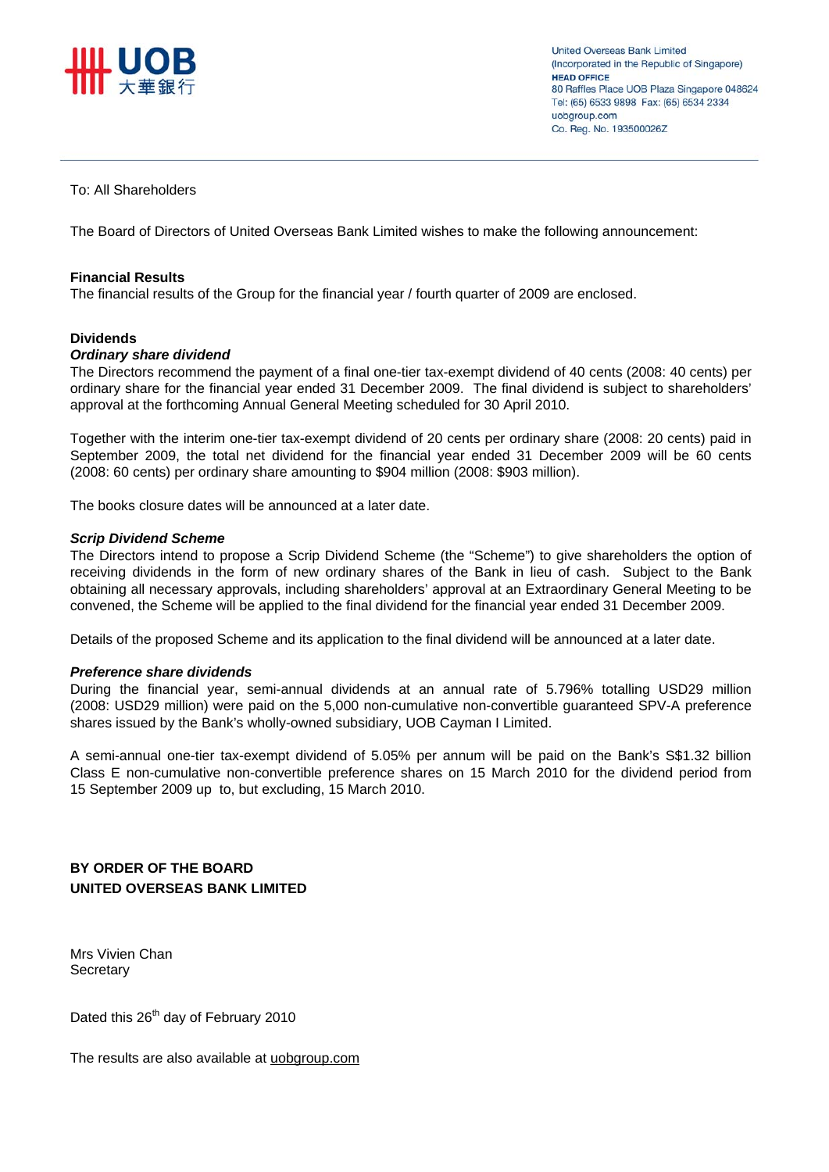

**United Overseas Bank Limited** (Incorporated in the Republic of Singapore) HEAD OFFICE 80 Raffles Place UOB Plaza Singapore 048624 Tel: (65) 6533 9898 Fax: (65) 6534 2334 uobaroup.com Co. Reg. No. 193500026Z

# To: All Shareholders

The Board of Directors of United Overseas Bank Limited wishes to make the following announcement:

### **Financial Results**

The financial results of the Group for the financial year / fourth quarter of 2009 are enclosed.

### **Dividends**

### *Ordinary share dividend*

The Directors recommend the payment of a final one-tier tax-exempt dividend of 40 cents (2008: 40 cents) per ordinary share for the financial year ended 31 December 2009. The final dividend is subject to shareholders' approval at the forthcoming Annual General Meeting scheduled for 30 April 2010.

Together with the interim one-tier tax-exempt dividend of 20 cents per ordinary share (2008: 20 cents) paid in September 2009, the total net dividend for the financial year ended 31 December 2009 will be 60 cents (2008: 60 cents) per ordinary share amounting to \$904 million (2008: \$903 million).

The books closure dates will be announced at a later date.

#### *Scrip Dividend Scheme*

The Directors intend to propose a Scrip Dividend Scheme (the "Scheme") to give shareholders the option of receiving dividends in the form of new ordinary shares of the Bank in lieu of cash. Subject to the Bank obtaining all necessary approvals, including shareholders' approval at an Extraordinary General Meeting to be convened, the Scheme will be applied to the final dividend for the financial year ended 31 December 2009.

Details of the proposed Scheme and its application to the final dividend will be announced at a later date.

### *Preference share dividends*

During the financial year, semi-annual dividends at an annual rate of 5.796% totalling USD29 million (2008: USD29 million) were paid on the 5,000 non-cumulative non-convertible guaranteed SPV-A preference shares issued by the Bank's wholly-owned subsidiary, UOB Cayman I Limited.

A semi-annual one-tier tax-exempt dividend of 5.05% per annum will be paid on the Bank's S\$1.32 billion Class E non-cumulative non-convertible preference shares on 15 March 2010 for the dividend period from 15 September 2009 up to, but excluding, 15 March 2010.

**BY ORDER OF THE BOARD UNITED OVERSEAS BANK LIMITED** 

Mrs Vivien Chan **Secretary** 

Dated this 26<sup>th</sup> day of February 2010

The results are also available at uobgroup.com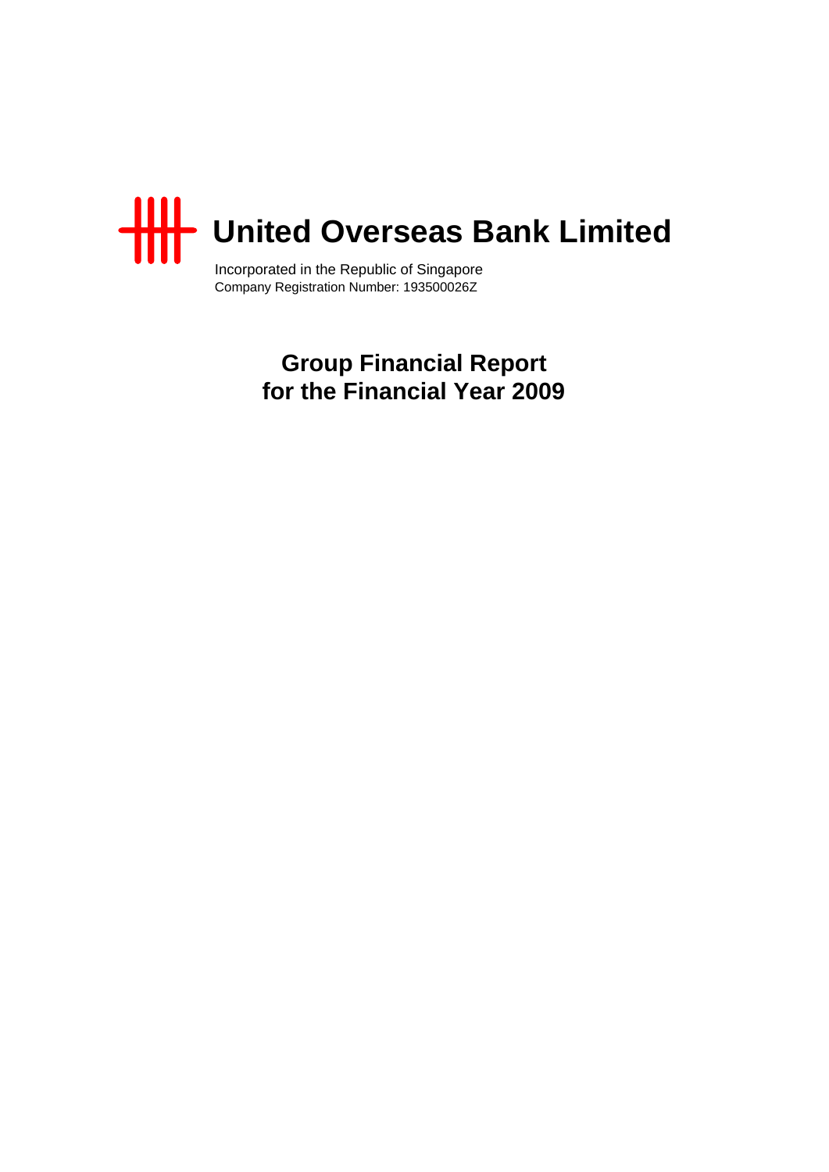

Incorporated in the Republic of Singapore Company Registration Number: 193500026Z

> **Group Financial Report for the Financial Year 2009**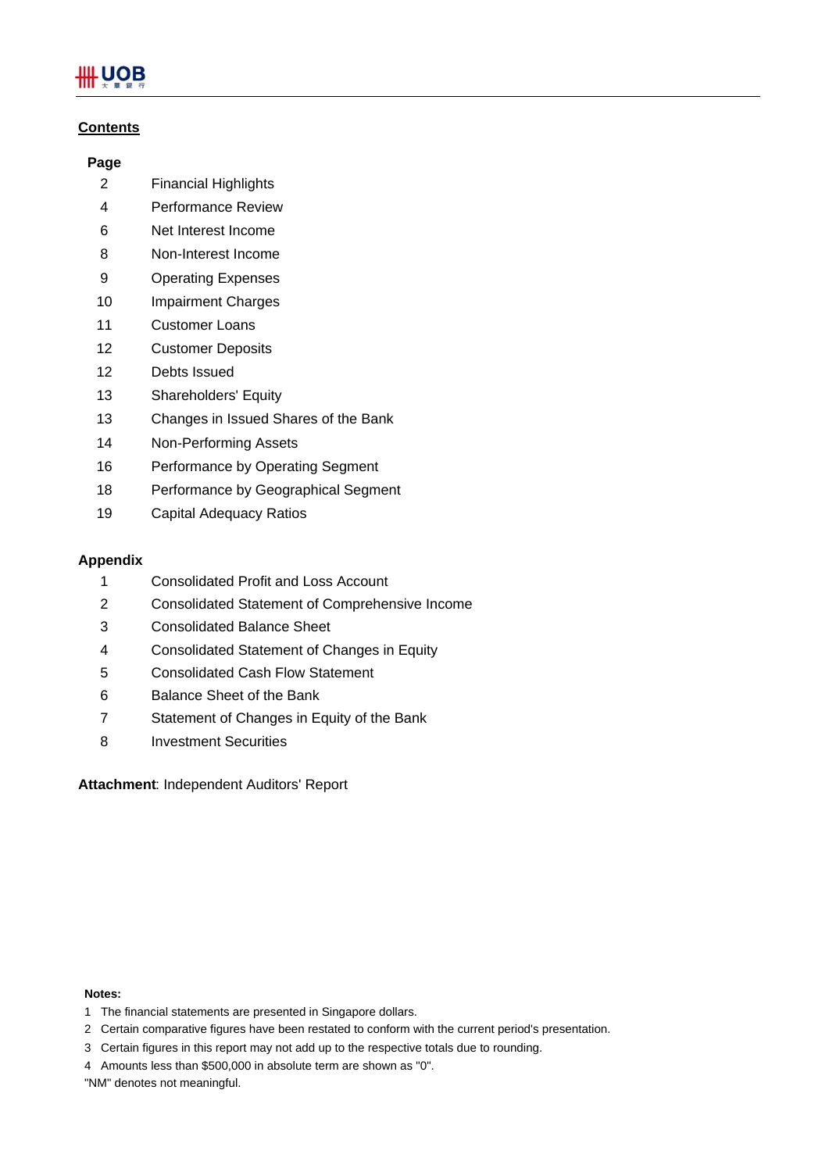# **UOB**

# **Contents**

# **Page**

- 2 Financial Highlights
- 4 Performance Review
- 6 Net Interest Income
- 8 Non-Interest Income
- 9 Operating Expenses
- 10 Impairment Charges
- 11 Customer Loans
- 12 Customer Deposits
- 12 Debts Issued
- 13 Shareholders' Equity
- 13 Changes in Issued Shares of the Bank
- 14 Non-Performing Assets
- 16 Performance by Operating Segment
- 18 Performance by Geographical Segment
- 19 Capital Adequacy Ratios

# **Appendix**

- 1 Consolidated Profit and Loss Account
- 2 Consolidated Statement of Comprehensive Income
- 3 Consolidated Balance Sheet
- 4 Consolidated Statement of Changes in Equity
- 5 Consolidated Cash Flow Statement
- 6 Balance Sheet of the Bank
- 7 Statement of Changes in Equity of the Bank
- 8 Investment Securities

**Attachment**: Independent Auditors' Report

### **Notes:**

- 1 The financial statements are presented in Singapore dollars.
- 2 Certain comparative figures have been restated to conform with the current period's presentation.
- 3 Certain figures in this report may not add up to the respective totals due to rounding.
- 4 Amounts less than \$500,000 in absolute term are shown as "0".

"NM" denotes not meaningful.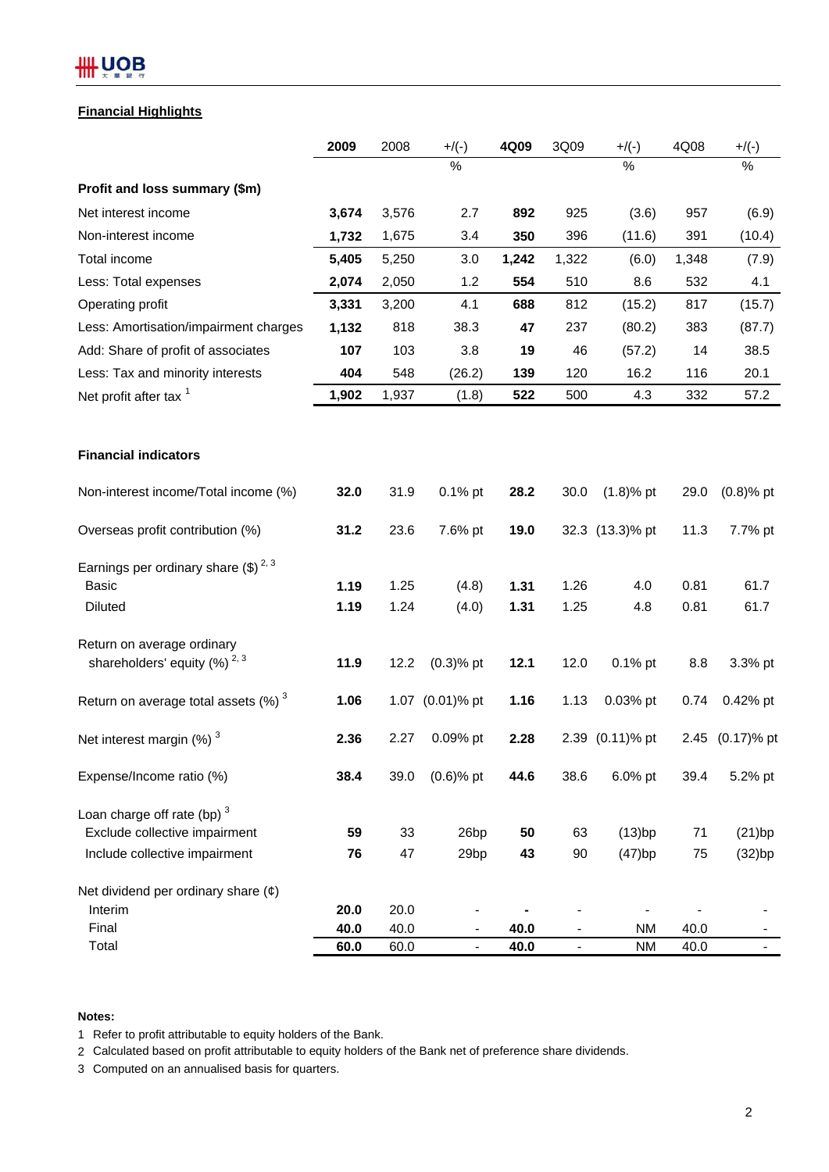# # UOB

# **Financial Highlights**

|                                                    | 2009  | 2008  | $+$ /(-)                 | 4Q09  | 3Q09           | $+$ /(-)        | 4Q08  | $+$ /(-)      |
|----------------------------------------------------|-------|-------|--------------------------|-------|----------------|-----------------|-------|---------------|
|                                                    |       |       | %                        |       |                | %               |       | %             |
| Profit and loss summary (\$m)                      |       |       |                          |       |                |                 |       |               |
| Net interest income                                | 3,674 | 3,576 | 2.7                      | 892   | 925            | (3.6)           | 957   | (6.9)         |
| Non-interest income                                | 1,732 | 1,675 | 3.4                      | 350   | 396            | (11.6)          | 391   | (10.4)        |
| Total income                                       | 5,405 | 5,250 | 3.0                      | 1,242 | 1,322          | (6.0)           | 1,348 | (7.9)         |
| Less: Total expenses                               | 2,074 | 2,050 | 1.2                      | 554   | 510            | 8.6             | 532   | 4.1           |
| Operating profit                                   | 3,331 | 3,200 | 4.1                      | 688   | 812            | (15.2)          | 817   | (15.7)        |
| Less: Amortisation/impairment charges              | 1,132 | 818   | 38.3                     | 47    | 237            | (80.2)          | 383   | (87.7)        |
| Add: Share of profit of associates                 | 107   | 103   | 3.8                      | 19    | 46             | (57.2)          | 14    | 38.5          |
| Less: Tax and minority interests                   | 404   | 548   | (26.2)                   | 139   | 120            | 16.2            | 116   | 20.1          |
| Net profit after tax <sup>1</sup>                  | 1,902 | 1,937 | (1.8)                    | 522   | 500            | 4.3             | 332   | 57.2          |
| <b>Financial indicators</b>                        |       |       |                          |       |                |                 |       |               |
| Non-interest income/Total income (%)               | 32.0  | 31.9  | 0.1% pt                  | 28.2  | 30.0           | $(1.8)$ % pt    | 29.0  | $(0.8)$ % pt  |
| Overseas profit contribution (%)                   | 31.2  | 23.6  | 7.6% pt                  | 19.0  |                | 32.3 (13.3)% pt | 11.3  | 7.7% pt       |
| Earnings per ordinary share $(\text{$\$})^{2,3}$   |       |       |                          |       |                |                 |       |               |
| <b>Basic</b>                                       | 1.19  | 1.25  | (4.8)                    | 1.31  | 1.26           | 4.0             | 0.81  | 61.7          |
| <b>Diluted</b>                                     | 1.19  | 1.24  | (4.0)                    | 1.31  | 1.25           | 4.8             | 0.81  | 61.7          |
| Return on average ordinary                         |       |       |                          |       |                |                 |       |               |
| shareholders' equity (%) <sup>2,3</sup>            | 11.9  | 12.2  | $(0.3)$ % pt             | 12.1  | 12.0           | $0.1\%$ pt      | 8.8   | 3.3% pt       |
| Return on average total assets $(\%)$ <sup>3</sup> | 1.06  |       | 1.07 (0.01)% pt          | 1.16  | 1.13           | 0.03% pt        | 0.74  | 0.42% pt      |
| Net interest margin (%) <sup>3</sup>               | 2.36  | 2.27  | 0.09% pt                 | 2.28  |                | 2.39 (0.11)% pt | 2.45  | $(0.17)$ % pt |
| Expense/Income ratio (%)                           | 38.4  | 39.0  | $(0.6)$ % pt             | 44.6  | 38.6           | 6.0% pt         | 39.4  | 5.2% pt       |
| Loan charge off rate (bp) $3$                      |       |       |                          |       |                |                 |       |               |
| Exclude collective impairment                      | 59    | 33    | 26 <sub>bp</sub>         | 50    | 63             | (13)bp          | 71    | (21)bp        |
| Include collective impairment                      | 76    | 47    | 29bp                     | 43    | $90\,$         | (47)bp          | 75    | (32)bp        |
| Net dividend per ordinary share $(\phi)$           |       |       |                          |       |                |                 |       |               |
| Interim                                            | 20.0  | 20.0  |                          |       |                |                 |       |               |
| Final                                              | 40.0  | 40.0  |                          | 40.0  |                | <b>NM</b>       | 40.0  |               |
| Total                                              | 60.0  | 60.0  | $\overline{\phantom{a}}$ | 40.0  | $\blacksquare$ | <b>NM</b>       | 40.0  |               |

**Notes:**

1 Refer to profit attributable to equity holders of the Bank.

2 Calculated based on profit attributable to equity holders of the Bank net of preference share dividends.

3 Computed on an annualised basis for quarters.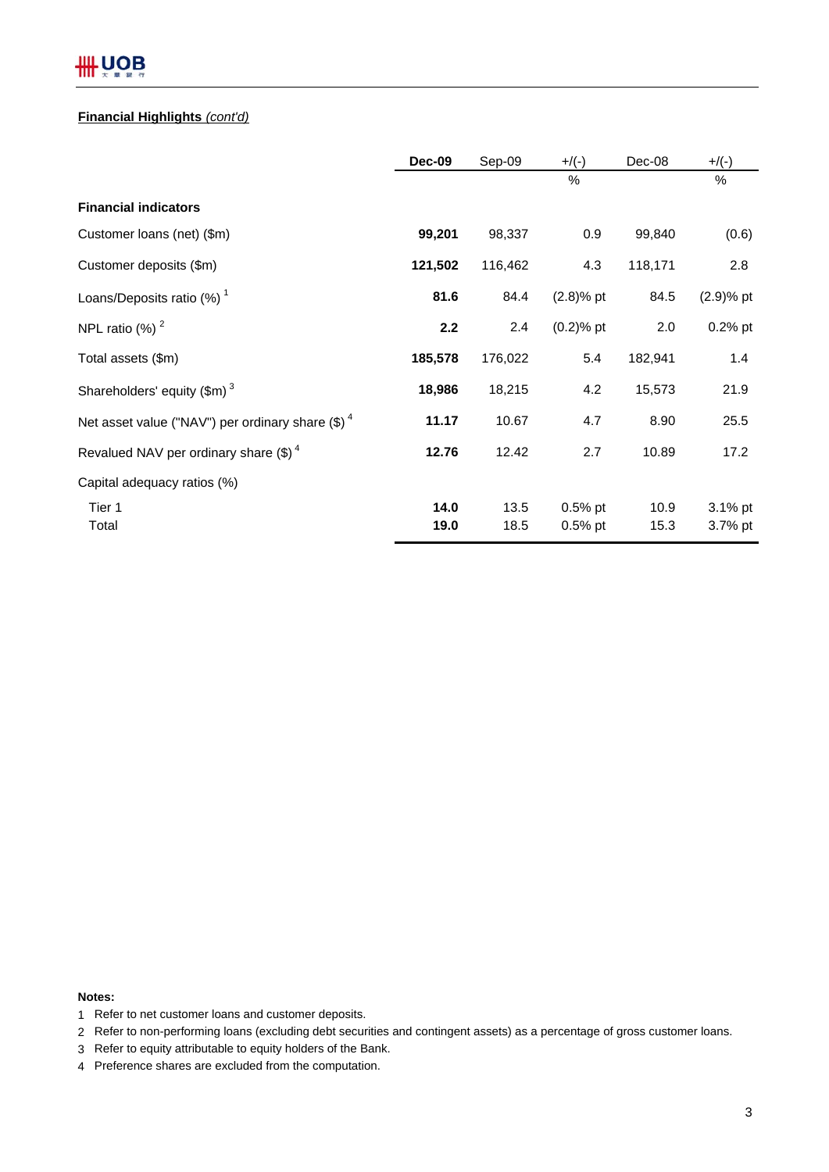# # UOB

# **Financial Highlights** *(cont'd)*

|                                                     | <b>Dec-09</b> | Sep-09  | $+$ /(-)     | Dec-08  | $+$ /(-)     |
|-----------------------------------------------------|---------------|---------|--------------|---------|--------------|
|                                                     |               |         | %            |         | %            |
| <b>Financial indicators</b>                         |               |         |              |         |              |
| Customer loans (net) (\$m)                          | 99,201        | 98,337  | 0.9          | 99,840  | (0.6)        |
| Customer deposits (\$m)                             | 121,502       | 116,462 | 4.3          | 118,171 | 2.8          |
| Loans/Deposits ratio $(%)1$                         | 81.6          | 84.4    | $(2.8)%$ pt  | 84.5    | $(2.9)$ % pt |
| NPL ratio $(%)2$                                    | 2.2           | 2.4     | $(0.2)$ % pt | 2.0     | $0.2%$ pt    |
| Total assets (\$m)                                  | 185,578       | 176,022 | 5.4          | 182,941 | 1.4          |
| Shareholders' equity $(\text{$m$})^3$               | 18,986        | 18,215  | 4.2          | 15,573  | 21.9         |
| Net asset value ("NAV") per ordinary share $(\$)^4$ | 11.17         | 10.67   | 4.7          | 8.90    | 25.5         |
| Revalued NAV per ordinary share $(\text{$\$})^4$    | 12.76         | 12.42   | 2.7          | 10.89   | 17.2         |
| Capital adequacy ratios (%)                         |               |         |              |         |              |
| Tier 1                                              | 14.0          | 13.5    | $0.5%$ pt    | 10.9    | 3.1% pt      |
| Total                                               | 19.0          | 18.5    | $0.5\%$ pt   | 15.3    | 3.7% pt      |

# **Notes:**

- 1 Refer to net customer loans and customer deposits.
- 2 Refer to non-performing loans (excluding debt securities and contingent assets) as a percentage of gross customer loans.
- 3 Refer to equity attributable to equity holders of the Bank.
- 4 Preference shares are excluded from the computation.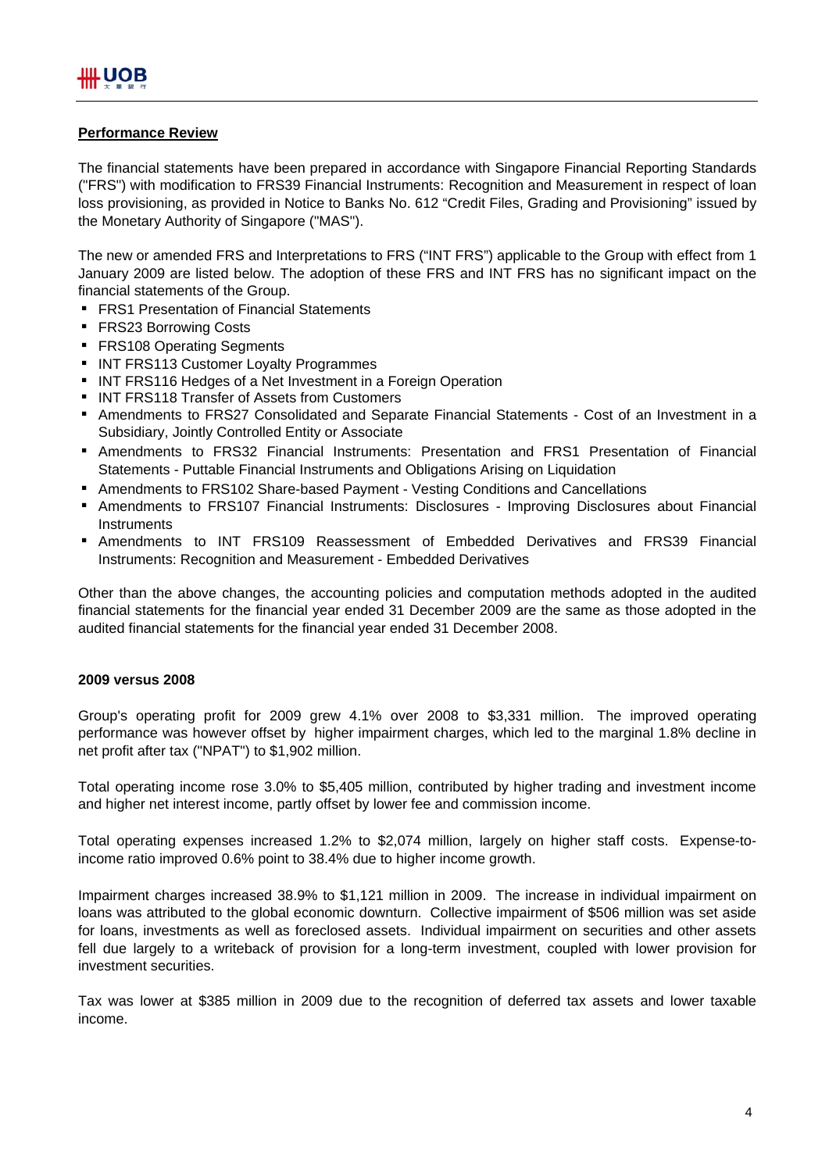# **Performance Review**

The financial statements have been prepared in accordance with Singapore Financial Reporting Standards ("FRS") with modification to FRS39 Financial Instruments: Recognition and Measurement in respect of loan loss provisioning, as provided in Notice to Banks No. 612 "Credit Files, Grading and Provisioning" issued by the Monetary Authority of Singapore ("MAS").

The new or amended FRS and Interpretations to FRS ("INT FRS") applicable to the Group with effect from 1 January 2009 are listed below. The adoption of these FRS and INT FRS has no significant impact on the financial statements of the Group.

- **FRS1 Presentation of Financial Statements**
- **FRS23 Borrowing Costs**
- **FRS108 Operating Segments**
- **INT FRS113 Customer Loyalty Programmes**
- **INT FRS116 Hedges of a Net Investment in a Foreign Operation**
- **INT FRS118 Transfer of Assets from Customers**
- **Amendments to FRS27 Consolidated and Separate Financial Statements Cost of an Investment in a** Subsidiary, Jointly Controlled Entity or Associate
- Amendments to FRS32 Financial Instruments: Presentation and FRS1 Presentation of Financial Statements - Puttable Financial Instruments and Obligations Arising on Liquidation
- **F** Amendments to FRS102 Share-based Payment Vesting Conditions and Cancellations
- **-** Amendments to FRS107 Financial Instruments: Disclosures Improving Disclosures about Financial **Instruments**
- Amendments to INT FRS109 Reassessment of Embedded Derivatives and FRS39 Financial Instruments: Recognition and Measurement - Embedded Derivatives

Other than the above changes, the accounting policies and computation methods adopted in the audited financial statements for the financial year ended 31 December 2009 are the same as those adopted in the audited financial statements for the financial year ended 31 December 2008.

# **2009 versus 2008**

Group's operating profit for 2009 grew 4.1% over 2008 to \$3,331 million. The improved operating performance was however offset by higher impairment charges, which led to the marginal 1.8% decline in net profit after tax ("NPAT") to \$1,902 million.

Total operating income rose 3.0% to \$5,405 million, contributed by higher trading and investment income and higher net interest income, partly offset by lower fee and commission income.

Total operating expenses increased 1.2% to \$2,074 million, largely on higher staff costs. Expense-toincome ratio improved 0.6% point to 38.4% due to higher income growth.

Impairment charges increased 38.9% to \$1,121 million in 2009. The increase in individual impairment on loans was attributed to the global economic downturn. Collective impairment of \$506 million was set aside for loans, investments as well as foreclosed assets. Individual impairment on securities and other assets fell due largely to a writeback of provision for a long-term investment, coupled with lower provision for investment securities.

Tax was lower at \$385 million in 2009 due to the recognition of deferred tax assets and lower taxable income.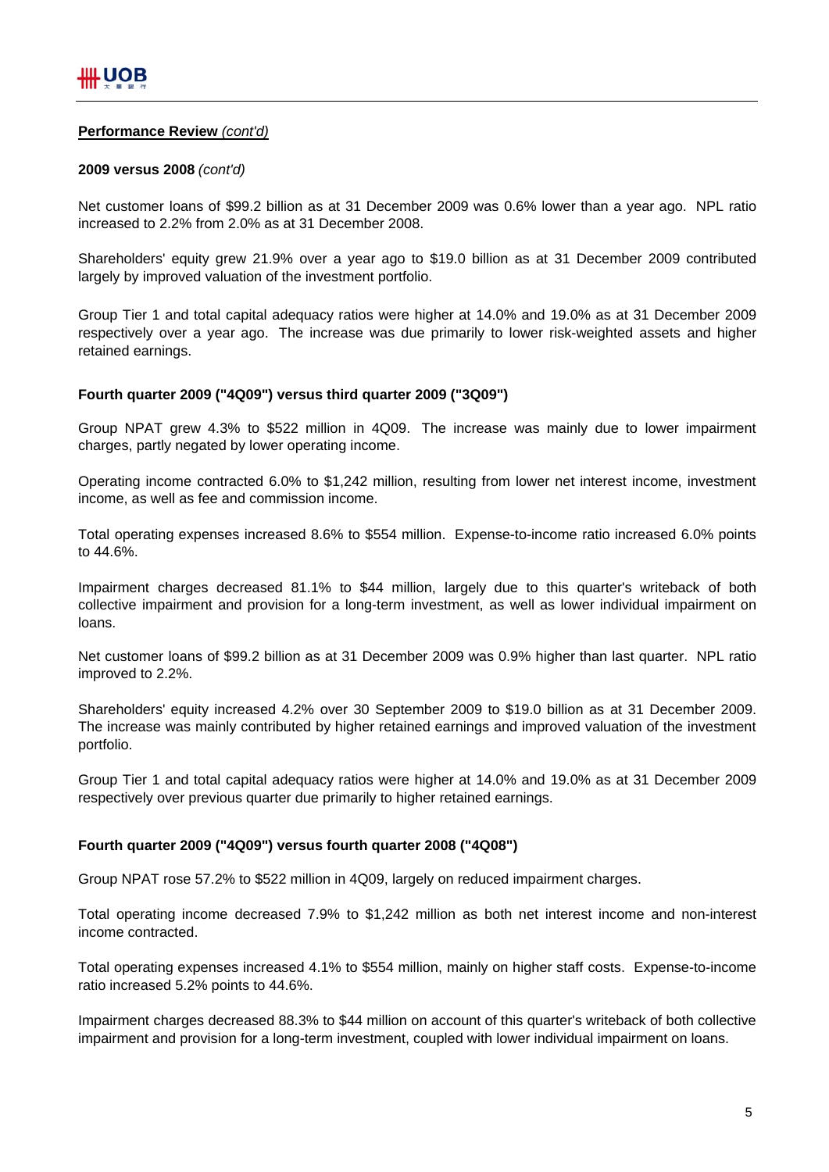# **Performance Review** *(cont'd)*

# **2009 versus 2008** *(cont'd)*

Net customer loans of \$99.2 billion as at 31 December 2009 was 0.6% lower than a year ago. NPL ratio increased to 2.2% from 2.0% as at 31 December 2008.

Shareholders' equity grew 21.9% over a year ago to \$19.0 billion as at 31 December 2009 contributed largely by improved valuation of the investment portfolio.

Group Tier 1 and total capital adequacy ratios were higher at 14.0% and 19.0% as at 31 December 2009 respectively over a year ago. The increase was due primarily to lower risk-weighted assets and higher retained earnings.

# **Fourth quarter 2009 ("4Q09") versus third quarter 2009 ("3Q09")**

Group NPAT grew 4.3% to \$522 million in 4Q09. The increase was mainly due to lower impairment charges, partly negated by lower operating income.

Operating income contracted 6.0% to \$1,242 million, resulting from lower net interest income, investment income, as well as fee and commission income.

Total operating expenses increased 8.6% to \$554 million. Expense-to-income ratio increased 6.0% points to 44.6%.

Impairment charges decreased 81.1% to \$44 million, largely due to this quarter's writeback of both collective impairment and provision for a long-term investment, as well as lower individual impairment on loans.

Net customer loans of \$99.2 billion as at 31 December 2009 was 0.9% higher than last quarter. NPL ratio improved to 2.2%.

Shareholders' equity increased 4.2% over 30 September 2009 to \$19.0 billion as at 31 December 2009. The increase was mainly contributed by higher retained earnings and improved valuation of the investment portfolio.

Group Tier 1 and total capital adequacy ratios were higher at 14.0% and 19.0% as at 31 December 2009 respectively over previous quarter due primarily to higher retained earnings.

# **Fourth quarter 2009 ("4Q09") versus fourth quarter 2008 ("4Q08")**

Group NPAT rose 57.2% to \$522 million in 4Q09, largely on reduced impairment charges.

Total operating income decreased 7.9% to \$1,242 million as both net interest income and non-interest income contracted.

Total operating expenses increased 4.1% to \$554 million, mainly on higher staff costs. Expense-to-income ratio increased 5.2% points to 44.6%.

Impairment charges decreased 88.3% to \$44 million on account of this quarter's writeback of both collective impairment and provision for a long-term investment, coupled with lower individual impairment on loans.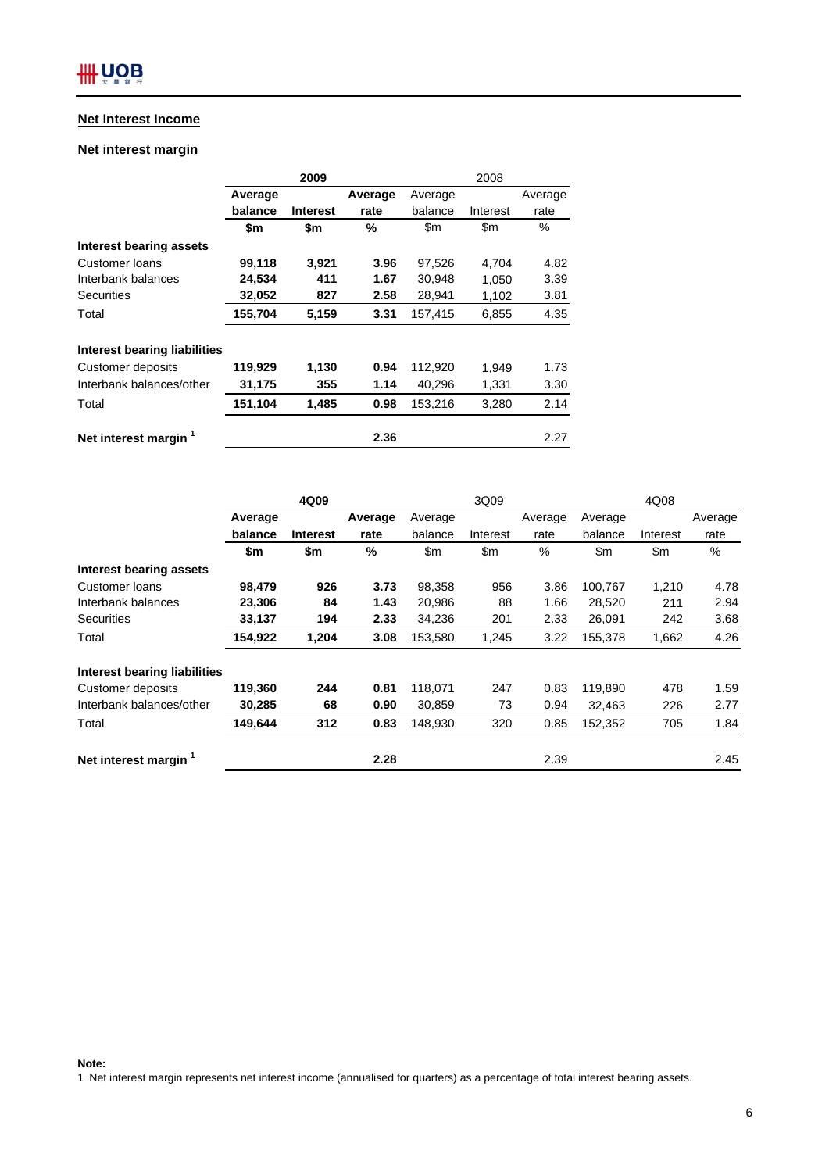# **Net Interest Income**

# **Net interest margin**

|                                  |         | 2009            |         |         | 2008     | Average<br>rate<br>%<br>4.82<br>3.39<br>3.81<br>4.35 |  |
|----------------------------------|---------|-----------------|---------|---------|----------|------------------------------------------------------|--|
|                                  | Average |                 | Average | Average |          |                                                      |  |
|                                  | balance | <b>Interest</b> | rate    | balance | Interest |                                                      |  |
|                                  | \$m     | \$m             | %       | \$m     | \$m      |                                                      |  |
| Interest bearing assets          |         |                 |         |         |          |                                                      |  |
| Customer loans                   | 99,118  | 3,921           | 3.96    | 97,526  | 4.704    |                                                      |  |
| Interbank balances               | 24,534  | 411             | 1.67    | 30,948  | 1,050    |                                                      |  |
| <b>Securities</b>                | 32,052  | 827             | 2.58    | 28,941  | 1,102    |                                                      |  |
| Total                            | 155,704 | 5,159           | 3.31    | 157,415 | 6,855    |                                                      |  |
| Interest bearing liabilities     |         |                 |         |         |          |                                                      |  |
| Customer deposits                | 119,929 | 1,130           | 0.94    | 112,920 | 1.949    | 1.73                                                 |  |
| Interbank balances/other         | 31,175  | 355             | 1.14    | 40,296  | 1,331    | 3.30                                                 |  |
| Total                            | 151,104 | 1,485           | 0.98    | 153,216 | 3,280    | 2.14                                                 |  |
| Net interest margin <sup>1</sup> |         |                 | 2.36    |         |          | 2.27                                                 |  |

|                                  | 4Q09    |                 |         | 3Q09          |               |         | 4Q08    |          |         |
|----------------------------------|---------|-----------------|---------|---------------|---------------|---------|---------|----------|---------|
|                                  | Average |                 | Average | Average       |               | Average | Average |          | Average |
|                                  | balance | <b>Interest</b> | rate    | balance       | Interest      | rate    | balance | Interest | rate    |
|                                  | \$m     | \$m             | %       | $\mathsf{Sm}$ | $\mathsf{Sm}$ | %       | \$m     | \$m      | $\%$    |
| Interest bearing assets          |         |                 |         |               |               |         |         |          |         |
| Customer loans                   | 98.479  | 926             | 3.73    | 98,358        | 956           | 3.86    | 100,767 | 1,210    | 4.78    |
| Interbank balances               | 23,306  | 84              | 1.43    | 20,986        | 88            | 1.66    | 28,520  | 211      | 2.94    |
| <b>Securities</b>                | 33,137  | 194             | 2.33    | 34,236        | 201           | 2.33    | 26,091  | 242      | 3.68    |
| Total                            | 154,922 | 1,204           | 3.08    | 153,580       | 1,245         | 3.22    | 155,378 | 1,662    | 4.26    |
| Interest bearing liabilities     |         |                 |         |               |               |         |         |          |         |
| Customer deposits                | 119,360 | 244             | 0.81    | 118,071       | 247           | 0.83    | 119,890 | 478      | 1.59    |
| Interbank balances/other         | 30,285  | 68              | 0.90    | 30,859        | 73            | 0.94    | 32,463  | 226      | 2.77    |
| Total                            | 149,644 | 312             | 0.83    | 148,930       | 320           | 0.85    | 152,352 | 705      | 1.84    |
| Net interest margin <sup>1</sup> |         |                 | 2.28    |               |               | 2.39    |         |          | 2.45    |

**Note:**

1 Net interest margin represents net interest income (annualised for quarters) as a percentage of total interest bearing assets.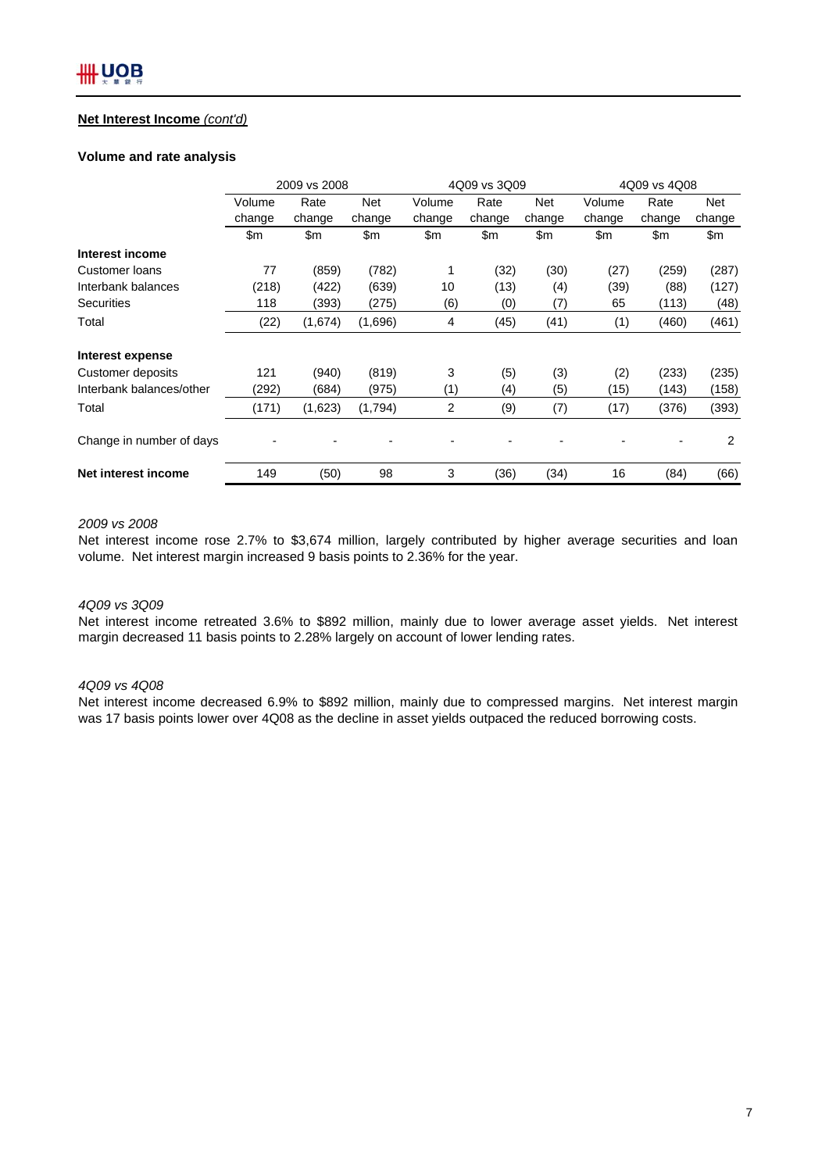# **Net Interest Income** *(cont'd)*

#### **Volume and rate analysis**

|                          | 2009 vs 2008 |         |            |                | 4Q09 vs 3Q09 |        | 4Q09 vs 4Q08 |        |            |
|--------------------------|--------------|---------|------------|----------------|--------------|--------|--------------|--------|------------|
|                          | Volume       | Rate    | <b>Net</b> | Volume         | Rate         | Net    | Volume       | Rate   | <b>Net</b> |
|                          | change       | change  | change     | change         | change       | change | change       | change | change     |
|                          | \$m          | \$m     | \$m        | \$m            | \$m          | \$m    | \$m          | \$m    | \$m        |
| Interest income          |              |         |            |                |              |        |              |        |            |
| Customer loans           | 77           | (859)   | (782)      | 1              | (32)         | (30)   | (27)         | (259)  | (287)      |
| Interbank balances       | (218)        | (422)   | (639)      | 10             | (13)         | (4)    | (39)         | (88)   | (127)      |
| <b>Securities</b>        | 118          | (393)   | (275)      | (6)            | (0)          | (7)    | 65           | (113)  | (48)       |
| Total                    | (22)         | (1,674) | (1,696)    | 4              | (45)         | (41)   | (1)          | (460)  | (461)      |
| Interest expense         |              |         |            |                |              |        |              |        |            |
| Customer deposits        | 121          | (940)   | (819)      | 3              | (5)          | (3)    | (2)          | (233)  | (235)      |
| Interbank balances/other | (292)        | (684)   | (975)      | (1)            | (4)          | (5)    | (15)         | (143)  | (158)      |
| Total                    | (171)        | (1,623) | (1,794)    | $\overline{2}$ | (9)          | (7)    | (17)         | (376)  | (393)      |
| Change in number of days |              |         |            |                |              |        |              |        | 2          |
| Net interest income      | 149          | (50)    | 98         | 3              | (36)         | (34)   | 16           | (84)   | (66)       |

# *2009 vs 2008*

Net interest income rose 2.7% to \$3,674 million, largely contributed by higher average securities and loan volume. Net interest margin increased 9 basis points to 2.36% for the year.

# *4Q09 vs 3Q09*

Net interest income retreated 3.6% to \$892 million, mainly due to lower average asset yields. Net interest margin decreased 11 basis points to 2.28% largely on account of lower lending rates.

### *4Q09 vs 4Q08*

Net interest income decreased 6.9% to \$892 million, mainly due to compressed margins. Net interest margin was 17 basis points lower over 4Q08 as the decline in asset yields outpaced the reduced borrowing costs.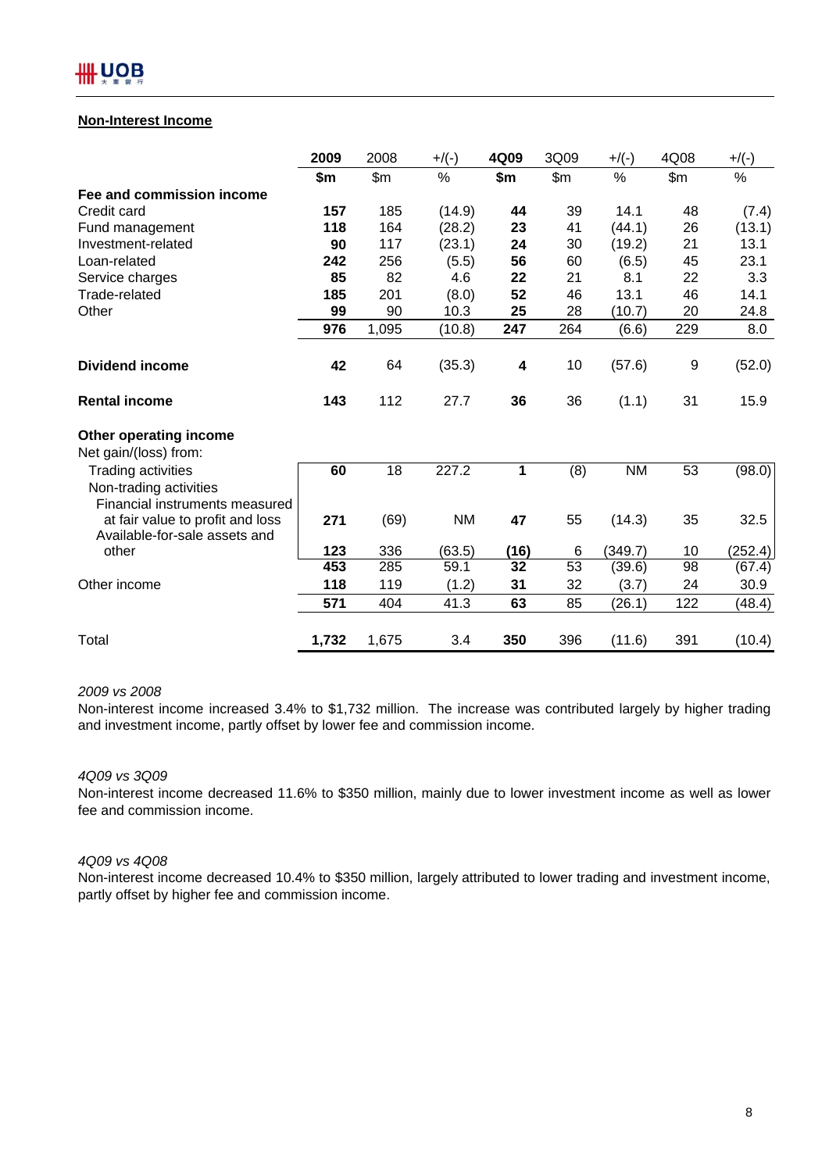# **Non-Interest Income**

|                                                                                | 2009  | 2008  | $+/(-)$   | 4Q09 | 3Q09  | $+/(-)$   | 4Q08  | $+/(-)$ |
|--------------------------------------------------------------------------------|-------|-------|-----------|------|-------|-----------|-------|---------|
|                                                                                | \$m   | \$m\$ | $\%$      | \$m  | \$m\$ | $\%$      | \$m\$ | %       |
| Fee and commission income                                                      |       |       |           |      |       |           |       |         |
| Credit card                                                                    | 157   | 185   | (14.9)    | 44   | 39    | 14.1      | 48    | (7.4)   |
| Fund management                                                                | 118   | 164   | (28.2)    | 23   | 41    | (44.1)    | 26    | (13.1)  |
| Investment-related                                                             | 90    | 117   | (23.1)    | 24   | 30    | (19.2)    | 21    | 13.1    |
| Loan-related                                                                   | 242   | 256   | (5.5)     | 56   | 60    | (6.5)     | 45    | 23.1    |
| Service charges                                                                | 85    | 82    | 4.6       | 22   | 21    | 8.1       | 22    | 3.3     |
| Trade-related                                                                  | 185   | 201   | (8.0)     | 52   | 46    | 13.1      | 46    | 14.1    |
| Other                                                                          | 99    | 90    | 10.3      | 25   | 28    | (10.7)    | 20    | 24.8    |
|                                                                                | 976   | 1,095 | (10.8)    | 247  | 264   | (6.6)     | 229   | 8.0     |
| <b>Dividend income</b>                                                         | 42    | 64    | (35.3)    | 4    | 10    | (57.6)    | 9     | (52.0)  |
| <b>Rental income</b>                                                           | 143   | 112   | 27.7      | 36   | 36    | (1.1)     | 31    | 15.9    |
| Other operating income<br>Net gain/(loss) from:                                |       |       |           |      |       |           |       |         |
| Trading activities<br>Non-trading activities<br>Financial instruments measured | 60    | 18    | 227.2     | 1    | (8)   | <b>NM</b> | 53    | (98.0)  |
| at fair value to profit and loss<br>Available-for-sale assets and              | 271   | (69)  | <b>NM</b> | 47   | 55    | (14.3)    | 35    | 32.5    |
| other                                                                          | 123   | 336   | (63.5)    | (16) | 6     | (349.7)   | 10    | (252.4) |
|                                                                                | 453   | 285   | 59.1      | 32   | 53    | (39.6)    | 98    | (67.4)  |
| Other income                                                                   | 118   | 119   | (1.2)     | 31   | 32    | (3.7)     | 24    | 30.9    |
|                                                                                | 571   | 404   | 41.3      | 63   | 85    | (26.1)    | 122   | (48.4)  |
| Total                                                                          | 1,732 | 1,675 | 3.4       | 350  | 396   | (11.6)    | 391   | (10.4)  |

### *2009 vs 2008*

Non-interest income increased 3.4% to \$1,732 million. The increase was contributed largely by higher trading and investment income, partly offset by lower fee and commission income.

### *4Q09 vs 3Q09*

Non-interest income decreased 11.6% to \$350 million, mainly due to lower investment income as well as lower fee and commission income.

# *4Q09 vs 4Q08*

Non-interest income decreased 10.4% to \$350 million, largely attributed to lower trading and investment income, partly offset by higher fee and commission income.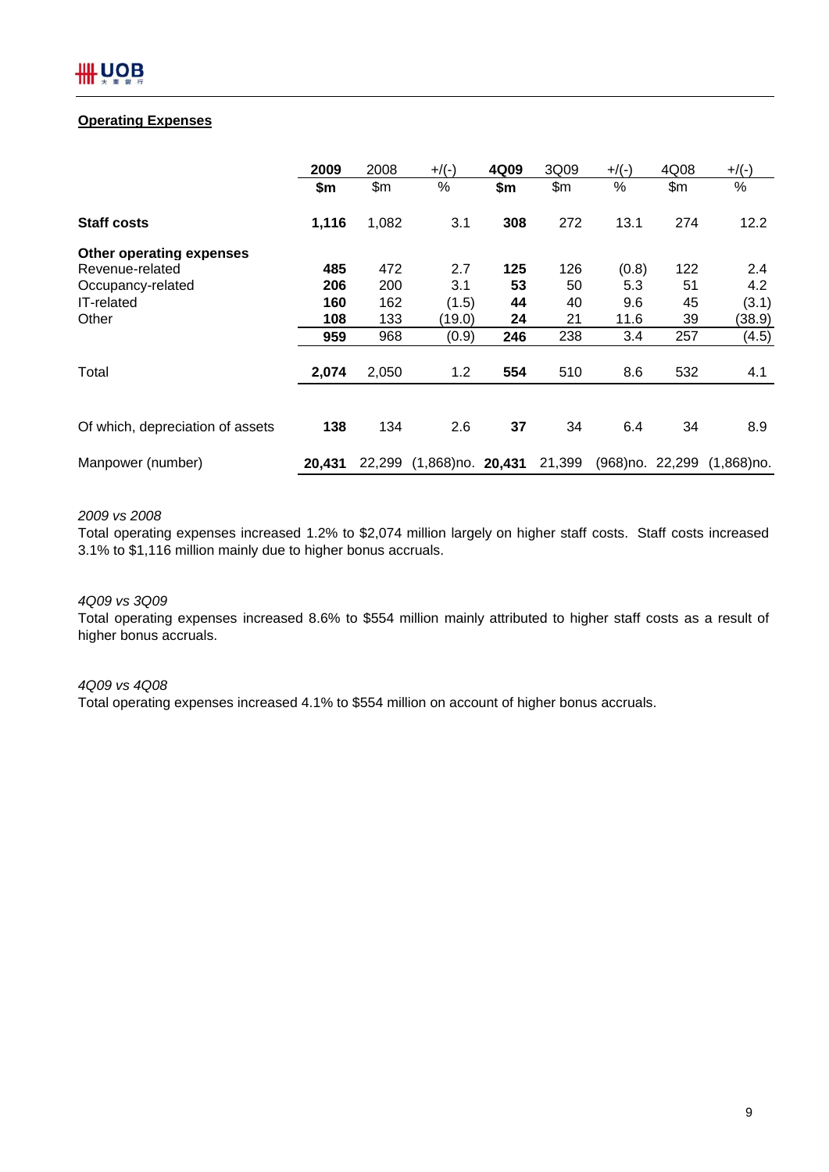# **Operating Expenses**

|                                  | 2009   | 2008   | $+$ /(-)                    | 4Q09 | 3Q09   | $+$ /(-)          | 4Q08 | $+/(-)$       |
|----------------------------------|--------|--------|-----------------------------|------|--------|-------------------|------|---------------|
|                                  | \$m    | \$m    | %                           | \$m  | \$m\$  | $\%$              | \$m  | %             |
| <b>Staff costs</b>               | 1,116  | 1,082  | 3.1                         | 308  | 272    | 13.1              | 274  | 12.2          |
| Other operating expenses         |        |        |                             |      |        |                   |      |               |
| Revenue-related                  | 485    | 472    | 2.7                         | 125  | 126    | (0.8)             | 122  | 2.4           |
| Occupancy-related                | 206    | 200    | 3.1                         | 53   | 50     | 5.3               | 51   | 4.2           |
| <b>IT-related</b>                | 160    | 162    | (1.5)                       | 44   | 40     | 9.6               | 45   | (3.1)         |
| Other                            | 108    | 133    | (19.0)                      | 24   | 21     | 11.6              | 39   | (38.9)        |
|                                  | 959    | 968    | (0.9)                       | 246  | 238    | 3.4               | 257  | (4.5)         |
| Total                            | 2,074  | 2,050  | 1.2                         | 554  | 510    | 8.6               | 532  | 4.1           |
|                                  |        |        |                             |      |        |                   |      |               |
| Of which, depreciation of assets | 138    | 134    | 2.6                         | 37   | 34     | 6.4               | 34   | 8.9           |
| Manpower (number)                | 20.431 | 22.299 | $(1,868)$ no. <b>20,431</b> |      | 21,399 | (968) no. 22, 299 |      | $(1,868)$ no. |

# *2009 vs 2008*

Total operating expenses increased 1.2% to \$2,074 million largely on higher staff costs. Staff costs increased 3.1% to \$1,116 million mainly due to higher bonus accruals.

# *4Q09 vs 3Q09*

Total operating expenses increased 8.6% to \$554 million mainly attributed to higher staff costs as a result of higher bonus accruals.

# *4Q09 vs 4Q08*

Total operating expenses increased 4.1% to \$554 million on account of higher bonus accruals.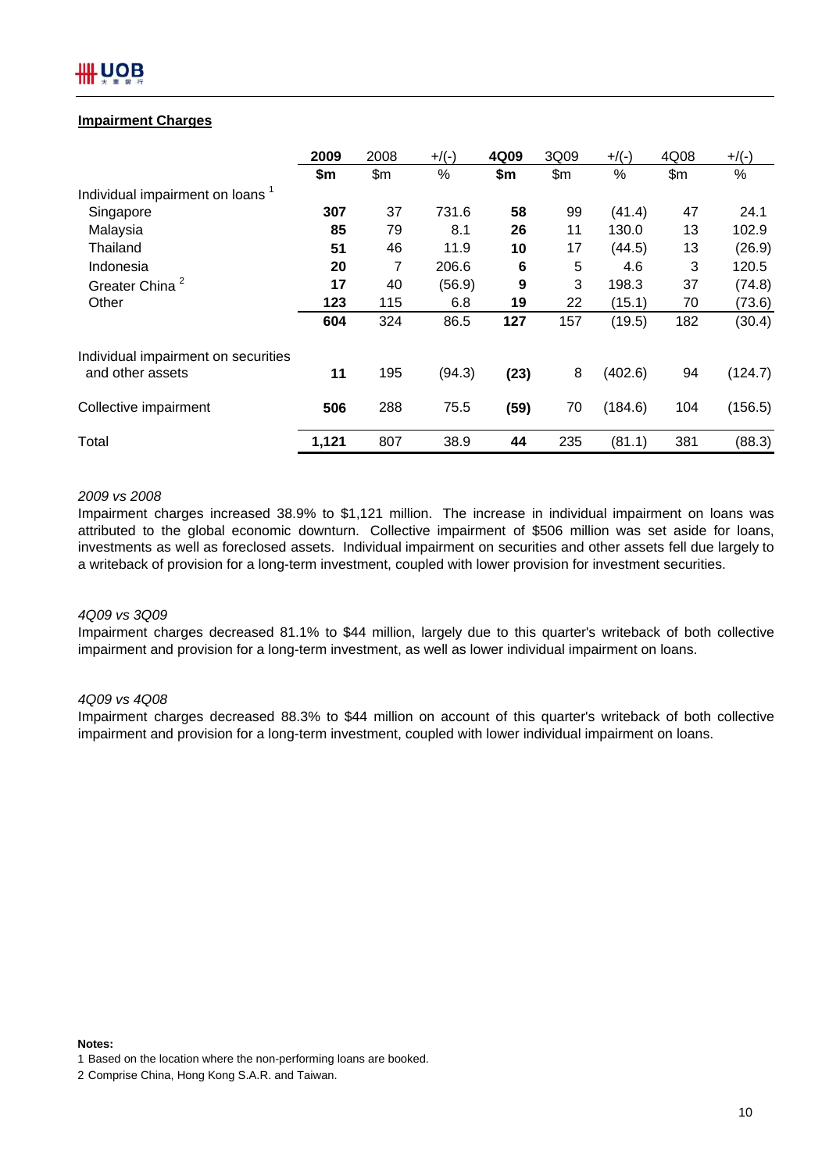# IOB

# **Impairment Charges**

|                                             | 2009  | 2008  | $+$ /(-) | 4Q09 | 3Q09  | $+$ /(-) | 4Q08  | $+$ /(-) |
|---------------------------------------------|-------|-------|----------|------|-------|----------|-------|----------|
|                                             | \$m   | \$m\$ | $\%$     | \$m  | \$m\$ | $\%$     | \$m\$ | $\%$     |
| Individual impairment on loans <sup>1</sup> |       |       |          |      |       |          |       |          |
| Singapore                                   | 307   | 37    | 731.6    | 58   | 99    | (41.4)   | 47    | 24.1     |
| Malaysia                                    | 85    | 79    | 8.1      | 26   | 11    | 130.0    | 13    | 102.9    |
| Thailand                                    | 51    | 46    | 11.9     | 10   | 17    | (44.5)   | 13    | (26.9)   |
| Indonesia                                   | 20    | 7     | 206.6    | 6    | 5     | 4.6      | 3     | 120.5    |
| Greater China <sup>2</sup>                  | 17    | 40    | (56.9)   | 9    | 3     | 198.3    | 37    | (74.8)   |
| Other                                       | 123   | 115   | 6.8      | 19   | 22    | (15.1)   | 70    | (73.6)   |
|                                             | 604   | 324   | 86.5     | 127  | 157   | (19.5)   | 182   | (30.4)   |
| Individual impairment on securities         |       |       |          |      |       |          |       |          |
| and other assets                            | 11    | 195   | (94.3)   | (23) | 8     | (402.6)  | 94    | (124.7)  |
| Collective impairment                       | 506   | 288   | 75.5     | (59) | 70    | (184.6)  | 104   | (156.5)  |
| Total                                       | 1,121 | 807   | 38.9     | 44   | 235   | (81.1)   | 381   | (88.3)   |

# *2009 vs 2008*

Impairment charges increased 38.9% to \$1,121 million. The increase in individual impairment on loans was attributed to the global economic downturn. Collective impairment of \$506 million was set aside for loans, investments as well as foreclosed assets. Individual impairment on securities and other assets fell due largely to a writeback of provision for a long-term investment, coupled with lower provision for investment securities.

### *4Q09 vs 3Q09*

Impairment charges decreased 81.1% to \$44 million, largely due to this quarter's writeback of both collective impairment and provision for a long-term investment, as well as lower individual impairment on loans.

### *4Q09 vs 4Q08*

Impairment charges decreased 88.3% to \$44 million on account of this quarter's writeback of both collective impairment and provision for a long-term investment, coupled with lower individual impairment on loans.

**Notes:**

<sup>1</sup> Based on the location where the non-performing loans are booked.

<sup>2</sup> Comprise China, Hong Kong S.A.R. and Taiwan.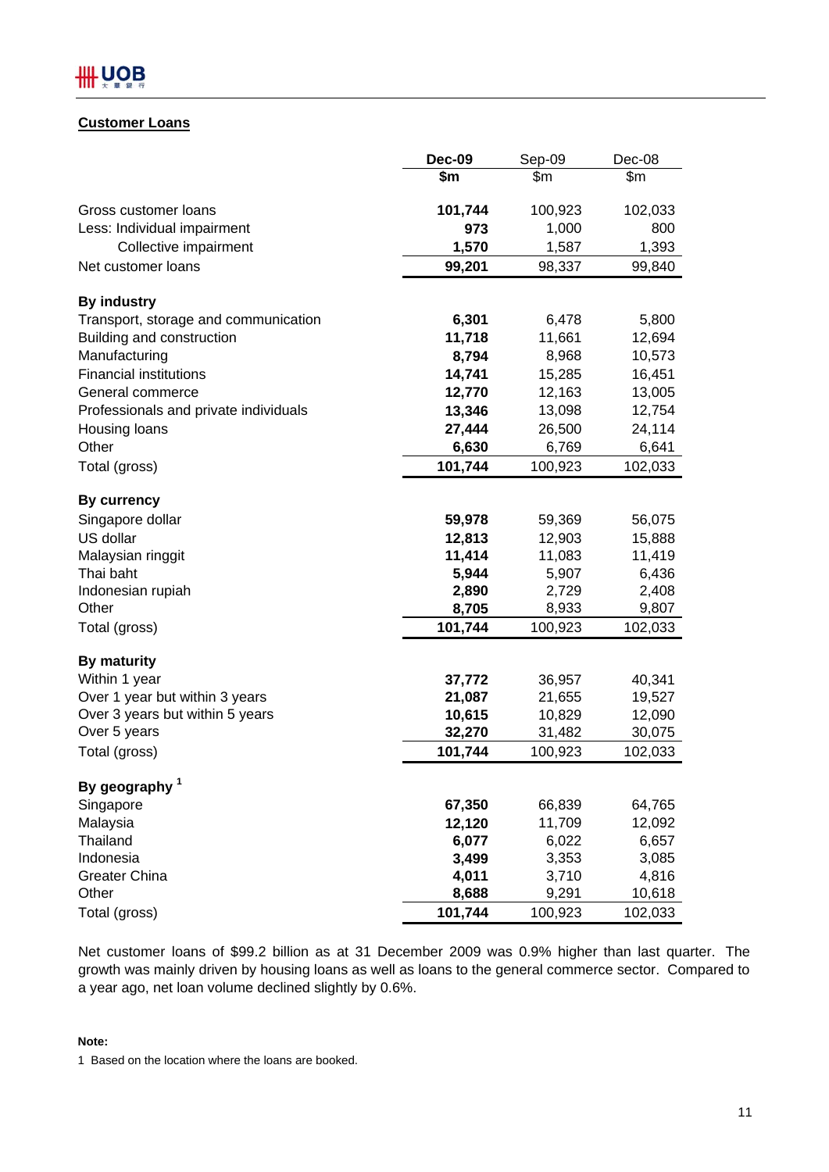# **Customer Loans**

|                                       | <b>Dec-09</b> | Sep-09  | Dec-08  |
|---------------------------------------|---------------|---------|---------|
|                                       | \$m           | \$m     | \$m     |
| Gross customer loans                  | 101,744       | 100,923 | 102,033 |
| Less: Individual impairment           | 973           | 1,000   | 800     |
| Collective impairment                 | 1,570         | 1,587   | 1,393   |
| Net customer loans                    | 99,201        | 98,337  | 99,840  |
| <b>By industry</b>                    |               |         |         |
| Transport, storage and communication  | 6,301         | 6,478   | 5,800   |
| Building and construction             | 11,718        | 11,661  | 12,694  |
| Manufacturing                         | 8,794         | 8,968   | 10,573  |
| <b>Financial institutions</b>         | 14,741        | 15,285  | 16,451  |
| General commerce                      | 12,770        | 12,163  | 13,005  |
| Professionals and private individuals | 13,346        | 13,098  | 12,754  |
| Housing loans                         | 27,444        | 26,500  | 24,114  |
| Other                                 | 6,630         | 6,769   | 6,641   |
| Total (gross)                         | 101,744       | 100,923 | 102,033 |
| <b>By currency</b>                    |               |         |         |
| Singapore dollar                      | 59,978        | 59,369  | 56,075  |
| US dollar                             | 12,813        | 12,903  | 15,888  |
| Malaysian ringgit                     | 11,414        | 11,083  | 11,419  |
| Thai baht                             | 5,944         | 5,907   | 6,436   |
| Indonesian rupiah                     | 2,890         | 2,729   | 2,408   |
| Other                                 | 8,705         | 8,933   | 9,807   |
| Total (gross)                         | 101,744       | 100,923 | 102,033 |
| <b>By maturity</b>                    |               |         |         |
| Within 1 year                         | 37,772        | 36,957  | 40,341  |
| Over 1 year but within 3 years        | 21,087        | 21,655  | 19,527  |
| Over 3 years but within 5 years       | 10,615        | 10,829  | 12,090  |
| Over 5 years                          | 32,270        | 31,482  | 30,075  |
| Total (gross)                         | 101,744       | 100,923 | 102,033 |
| By geography <sup>1</sup>             |               |         |         |
| Singapore                             | 67,350        | 66,839  | 64,765  |
| Malaysia                              | 12,120        | 11,709  | 12,092  |
| Thailand                              | 6,077         | 6,022   | 6,657   |
| Indonesia                             | 3,499         | 3,353   | 3,085   |
| <b>Greater China</b>                  | 4,011         | 3,710   | 4,816   |
| Other                                 | 8,688         | 9,291   | 10,618  |
| Total (gross)                         | 101,744       | 100,923 | 102,033 |

Net customer loans of \$99.2 billion as at 31 December 2009 was 0.9% higher than last quarter. The growth was mainly driven by housing loans as well as loans to the general commerce sector. Compared to a year ago, net loan volume declined slightly by 0.6%.

# **Note:**

1 Based on the location where the loans are booked.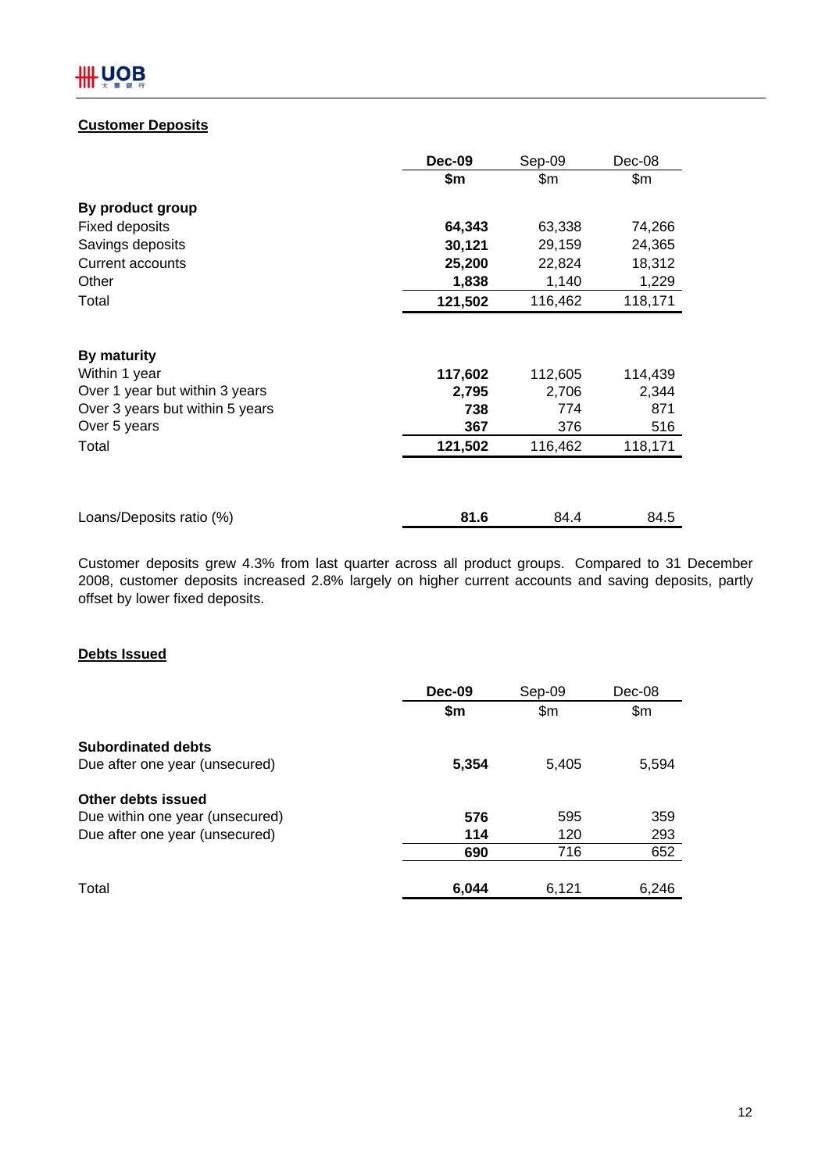# **Customer Deposits**

| \$m     |         |         |
|---------|---------|---------|
|         | \$m     | \$m\$   |
|         |         |         |
| 64,343  | 63,338  | 74,266  |
| 30,121  | 29,159  | 24,365  |
| 25,200  | 22,824  | 18,312  |
| 1,838   | 1,140   | 1,229   |
| 121,502 | 116,462 | 118,171 |
|         |         |         |
| 117,602 | 112,605 | 114,439 |
| 2,795   | 2,706   | 2,344   |
| 738     | 774     | 871     |
| 367     | 376     | 516     |
| 121,502 | 116,462 | 118,171 |
|         |         | 84.5    |
|         | 81.6    | 84.4    |

Customer deposits grew 4.3% from last quarter across all product groups. Compared to 31 December 2008, customer deposits increased 2.8% largely on higher current accounts and saving deposits, partly offset by lower fixed deposits.

# **Debts Issued**

|                                 | Dec-09 | Sep-09 | Dec-08 |
|---------------------------------|--------|--------|--------|
|                                 | \$m    | \$m\$  | \$m\$  |
| <b>Subordinated debts</b>       |        |        |        |
| Due after one year (unsecured)  | 5,354  | 5,405  | 5,594  |
| Other debts issued              |        |        |        |
| Due within one year (unsecured) | 576    | 595    | 359    |
| Due after one year (unsecured)  | 114    | 120    | 293    |
|                                 | 690    | 716    | 652    |
|                                 |        |        |        |
| Total                           | 6,044  | 6,121  | 6,246  |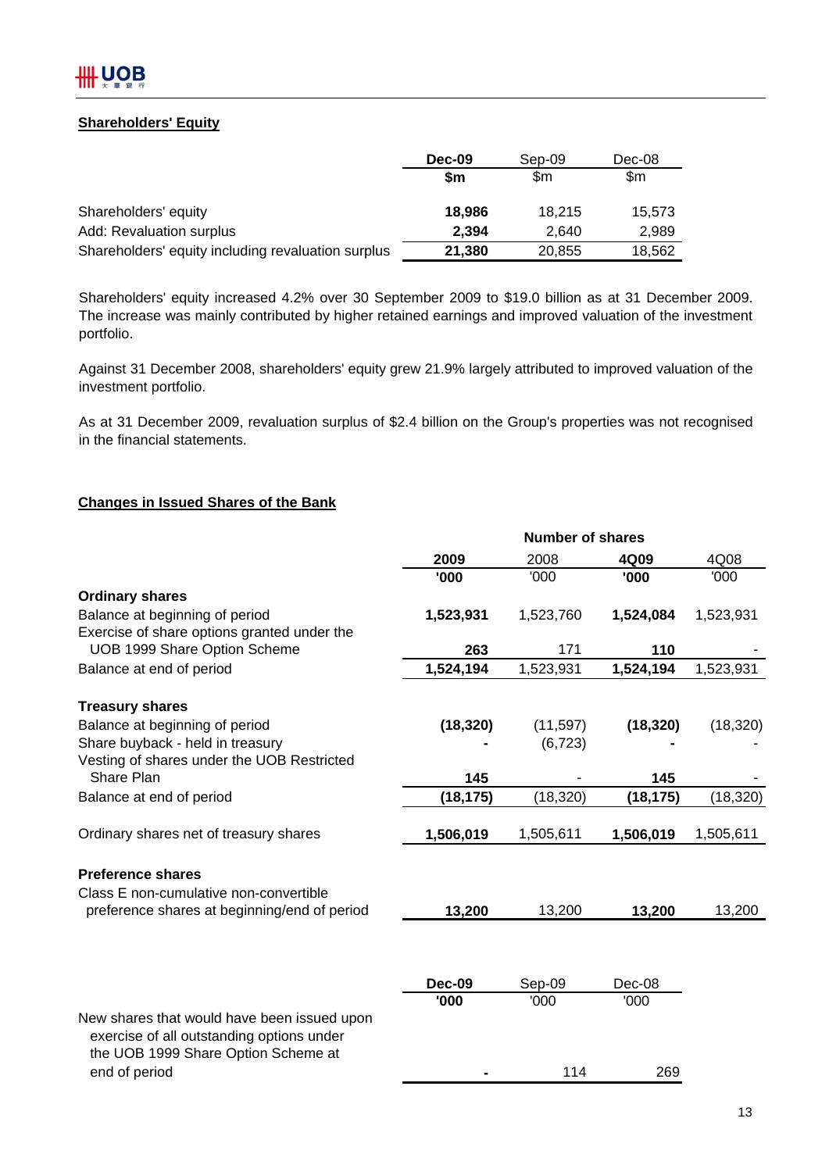# **Shareholders' Equity**

|                                                    | <b>Dec-09</b> | Sep-09 | Dec-08 |
|----------------------------------------------------|---------------|--------|--------|
|                                                    | \$m           | \$m    | \$m    |
| Shareholders' equity                               | 18,986        | 18.215 | 15.573 |
| Add: Revaluation surplus                           | 2,394         | 2.640  | 2,989  |
| Shareholders' equity including revaluation surplus | 21,380        | 20,855 | 18,562 |

Shareholders' equity increased 4.2% over 30 September 2009 to \$19.0 billion as at 31 December 2009. The increase was mainly contributed by higher retained earnings and improved valuation of the investment portfolio.

Against 31 December 2008, shareholders' equity grew 21.9% largely attributed to improved valuation of the investment portfolio.

As at 31 December 2009, revaluation surplus of \$2.4 billion on the Group's properties was not recognised in the financial statements.

# **Changes in Issued Shares of the Bank**

| 4Q08<br>2009<br>2008<br>4Q09<br>'000<br>'000<br>'000<br>'000<br><b>Ordinary shares</b><br>Balance at beginning of period<br>1,523,931<br>1,523,760<br>1,524,084<br>1,523,931<br>Exercise of share options granted under the<br>UOB 1999 Share Option Scheme<br>263<br>171<br>110<br>1,524,194<br>1,523,931<br>1,524,194<br>Balance at end of period<br>1,523,931<br><b>Treasury shares</b><br>Balance at beginning of period<br>(18, 320)<br>(18, 320)<br>(18, 320)<br>(11, 597)<br>Share buyback - held in treasury<br>(6, 723)<br>Vesting of shares under the UOB Restricted<br>Share Plan<br>145<br>145<br>(18, 320)<br>(18, 320)<br>Balance at end of period<br>(18, 175)<br>(18, 175)<br>Ordinary shares net of treasury shares<br>1,506,019<br>1,505,611<br>1,506,019<br>1,505,611<br><b>Preference shares</b><br>Class E non-cumulative non-convertible<br>13,200<br>13,200<br>13,200<br>13,200<br>preference shares at beginning/end of period<br>Sep-09<br><b>Dec-09</b><br>Dec-08<br>'000<br>'000<br>'000<br>New shares that would have been issued upon<br>exercise of all outstanding options under<br>the UOB 1999 Share Option Scheme at<br>end of period<br>114<br>269 | <b>Number of shares</b> |  |  |  |  |  |
|---------------------------------------------------------------------------------------------------------------------------------------------------------------------------------------------------------------------------------------------------------------------------------------------------------------------------------------------------------------------------------------------------------------------------------------------------------------------------------------------------------------------------------------------------------------------------------------------------------------------------------------------------------------------------------------------------------------------------------------------------------------------------------------------------------------------------------------------------------------------------------------------------------------------------------------------------------------------------------------------------------------------------------------------------------------------------------------------------------------------------------------------------------------------------------------|-------------------------|--|--|--|--|--|
|                                                                                                                                                                                                                                                                                                                                                                                                                                                                                                                                                                                                                                                                                                                                                                                                                                                                                                                                                                                                                                                                                                                                                                                       |                         |  |  |  |  |  |
|                                                                                                                                                                                                                                                                                                                                                                                                                                                                                                                                                                                                                                                                                                                                                                                                                                                                                                                                                                                                                                                                                                                                                                                       |                         |  |  |  |  |  |
|                                                                                                                                                                                                                                                                                                                                                                                                                                                                                                                                                                                                                                                                                                                                                                                                                                                                                                                                                                                                                                                                                                                                                                                       |                         |  |  |  |  |  |
|                                                                                                                                                                                                                                                                                                                                                                                                                                                                                                                                                                                                                                                                                                                                                                                                                                                                                                                                                                                                                                                                                                                                                                                       |                         |  |  |  |  |  |
|                                                                                                                                                                                                                                                                                                                                                                                                                                                                                                                                                                                                                                                                                                                                                                                                                                                                                                                                                                                                                                                                                                                                                                                       |                         |  |  |  |  |  |
|                                                                                                                                                                                                                                                                                                                                                                                                                                                                                                                                                                                                                                                                                                                                                                                                                                                                                                                                                                                                                                                                                                                                                                                       |                         |  |  |  |  |  |
|                                                                                                                                                                                                                                                                                                                                                                                                                                                                                                                                                                                                                                                                                                                                                                                                                                                                                                                                                                                                                                                                                                                                                                                       |                         |  |  |  |  |  |
|                                                                                                                                                                                                                                                                                                                                                                                                                                                                                                                                                                                                                                                                                                                                                                                                                                                                                                                                                                                                                                                                                                                                                                                       |                         |  |  |  |  |  |
|                                                                                                                                                                                                                                                                                                                                                                                                                                                                                                                                                                                                                                                                                                                                                                                                                                                                                                                                                                                                                                                                                                                                                                                       |                         |  |  |  |  |  |
|                                                                                                                                                                                                                                                                                                                                                                                                                                                                                                                                                                                                                                                                                                                                                                                                                                                                                                                                                                                                                                                                                                                                                                                       |                         |  |  |  |  |  |
|                                                                                                                                                                                                                                                                                                                                                                                                                                                                                                                                                                                                                                                                                                                                                                                                                                                                                                                                                                                                                                                                                                                                                                                       |                         |  |  |  |  |  |
|                                                                                                                                                                                                                                                                                                                                                                                                                                                                                                                                                                                                                                                                                                                                                                                                                                                                                                                                                                                                                                                                                                                                                                                       |                         |  |  |  |  |  |
|                                                                                                                                                                                                                                                                                                                                                                                                                                                                                                                                                                                                                                                                                                                                                                                                                                                                                                                                                                                                                                                                                                                                                                                       |                         |  |  |  |  |  |
|                                                                                                                                                                                                                                                                                                                                                                                                                                                                                                                                                                                                                                                                                                                                                                                                                                                                                                                                                                                                                                                                                                                                                                                       |                         |  |  |  |  |  |
|                                                                                                                                                                                                                                                                                                                                                                                                                                                                                                                                                                                                                                                                                                                                                                                                                                                                                                                                                                                                                                                                                                                                                                                       |                         |  |  |  |  |  |
|                                                                                                                                                                                                                                                                                                                                                                                                                                                                                                                                                                                                                                                                                                                                                                                                                                                                                                                                                                                                                                                                                                                                                                                       |                         |  |  |  |  |  |
|                                                                                                                                                                                                                                                                                                                                                                                                                                                                                                                                                                                                                                                                                                                                                                                                                                                                                                                                                                                                                                                                                                                                                                                       |                         |  |  |  |  |  |
|                                                                                                                                                                                                                                                                                                                                                                                                                                                                                                                                                                                                                                                                                                                                                                                                                                                                                                                                                                                                                                                                                                                                                                                       |                         |  |  |  |  |  |
|                                                                                                                                                                                                                                                                                                                                                                                                                                                                                                                                                                                                                                                                                                                                                                                                                                                                                                                                                                                                                                                                                                                                                                                       |                         |  |  |  |  |  |
|                                                                                                                                                                                                                                                                                                                                                                                                                                                                                                                                                                                                                                                                                                                                                                                                                                                                                                                                                                                                                                                                                                                                                                                       |                         |  |  |  |  |  |
|                                                                                                                                                                                                                                                                                                                                                                                                                                                                                                                                                                                                                                                                                                                                                                                                                                                                                                                                                                                                                                                                                                                                                                                       |                         |  |  |  |  |  |
|                                                                                                                                                                                                                                                                                                                                                                                                                                                                                                                                                                                                                                                                                                                                                                                                                                                                                                                                                                                                                                                                                                                                                                                       |                         |  |  |  |  |  |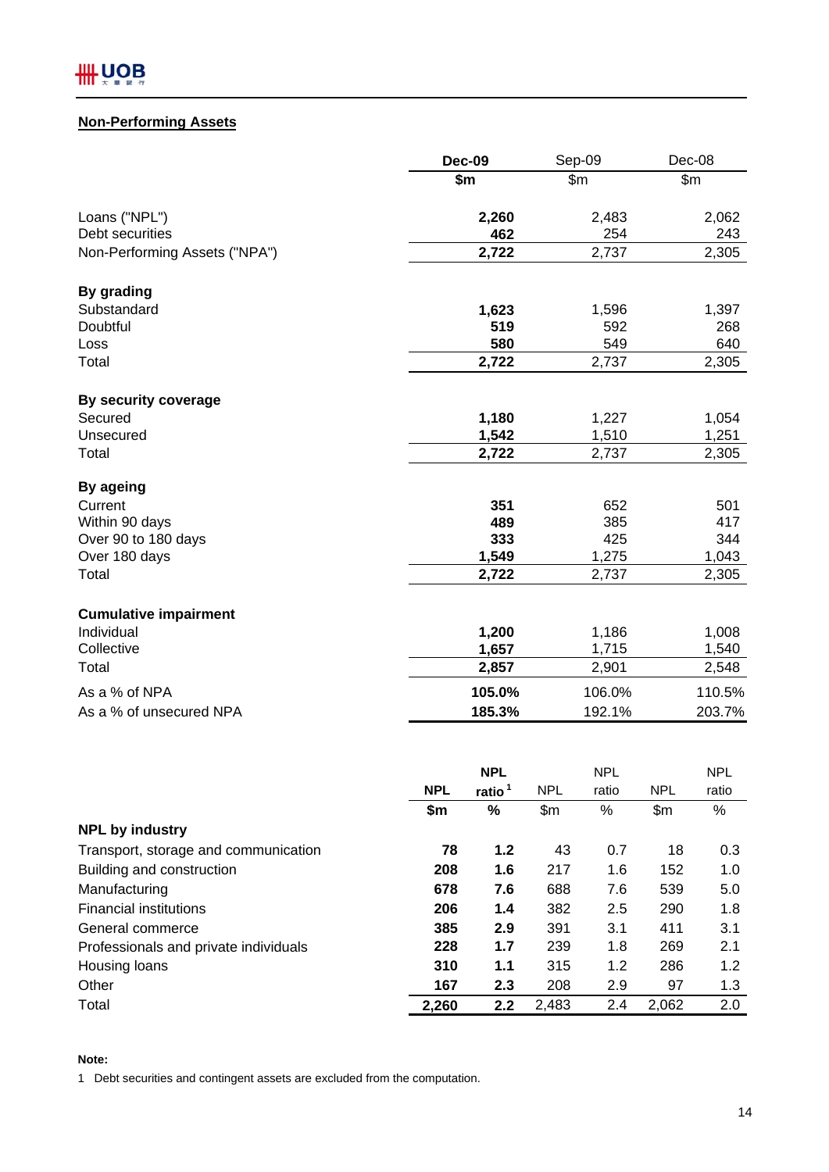# **Non-Performing Assets**

|                                                  | <b>Dec-09</b> |                    | Sep-09     |                      |                | Dec-08        |
|--------------------------------------------------|---------------|--------------------|------------|----------------------|----------------|---------------|
|                                                  |               | \$m                |            | \$m\$                |                | \$m\$         |
| Loans ("NPL")                                    |               | 2,260              |            | 2,483                |                | 2,062         |
| Debt securities                                  |               | 462                |            | 254                  |                | 243           |
| Non-Performing Assets ("NPA")                    |               | 2,722              |            | 2,737                |                | 2,305         |
| <b>By grading</b>                                |               |                    |            |                      |                |               |
| Substandard                                      |               | 1,623              |            | 1,596                |                | 1,397         |
| Doubtful                                         |               | 519                |            | 592                  |                | 268           |
| Loss                                             |               | 580                |            | 549                  |                | 640           |
| Total                                            |               | 2,722              |            | 2,737                |                | 2,305         |
| By security coverage                             |               |                    |            |                      |                |               |
| Secured                                          |               | 1,180              |            | 1,227                |                | 1,054         |
| Unsecured                                        |               | 1,542              |            | 1,510                |                | 1,251         |
| Total                                            |               | 2,722              |            | 2,737                |                | 2,305         |
| By ageing                                        |               |                    |            |                      |                |               |
| Current                                          |               | 351                |            | 652                  |                | 501           |
| Within 90 days                                   |               | 489                |            | 385                  |                | 417           |
| Over 90 to 180 days                              |               | 333                |            | 425                  |                | 344           |
| Over 180 days                                    |               | 1,549              |            | 1,275                |                | 1,043         |
| Total                                            |               | 2,722              |            | 2,737                |                | 2,305         |
| <b>Cumulative impairment</b>                     |               |                    |            |                      |                |               |
| Individual                                       |               | 1,200              |            | 1,186                |                | 1,008         |
| Collective                                       |               | 1,657              |            | 1,715                |                | 1,540         |
| Total                                            |               | 2,857              |            | 2,901                |                | 2,548         |
| As a % of NPA                                    |               | 105.0%             |            | 106.0%               |                | 110.5%        |
| As a % of unsecured NPA                          |               | 185.3%             |            | 192.1%               |                | 203.7%        |
|                                                  |               |                    |            |                      |                |               |
|                                                  |               | <b>NPL</b>         |            | <b>NPL</b>           |                | <b>NPL</b>    |
|                                                  | <b>NPL</b>    | ratio <sup>1</sup> | <b>NPL</b> | ratio                | <b>NPL</b>     | ratio         |
|                                                  | \$m\$         | $\%$               | \$m\$      | %                    | \$m            | %             |
| <b>NPL by industry</b><br>┯<br>المتحارب المتابين | -0            | . .                | $\sqrt{2}$ | $\sim$ $\rightarrow$ | $\overline{ }$ | $\sim$ $\sim$ |

| <b>NPL by industry</b>                |       |     |       |     |       |     |
|---------------------------------------|-------|-----|-------|-----|-------|-----|
| Transport, storage and communication  | 78    | 1.2 | 43    | 0.7 | 18    | 0.3 |
| Building and construction             | 208   | 1.6 | 217   | 1.6 | 152   | 1.0 |
| Manufacturing                         | 678   | 7.6 | 688   | 7.6 | 539   | 5.0 |
| <b>Financial institutions</b>         | 206   | 1.4 | 382   | 2.5 | 290   | 1.8 |
| General commerce                      | 385   | 2.9 | 391   | 3.1 | 411   | 3.1 |
| Professionals and private individuals | 228   | 1.7 | 239   | 1.8 | 269   | 2.1 |
| Housing loans                         | 310   | 1.1 | 315   | 1.2 | 286   | 1.2 |
| Other                                 | 167   | 2.3 | 208   | 2.9 | 97    | 1.3 |
| Total                                 | 2,260 | 2.2 | 2,483 | 2.4 | 2,062 | 2.0 |

**Note:**

1 Debt securities and contingent assets are excluded from the computation.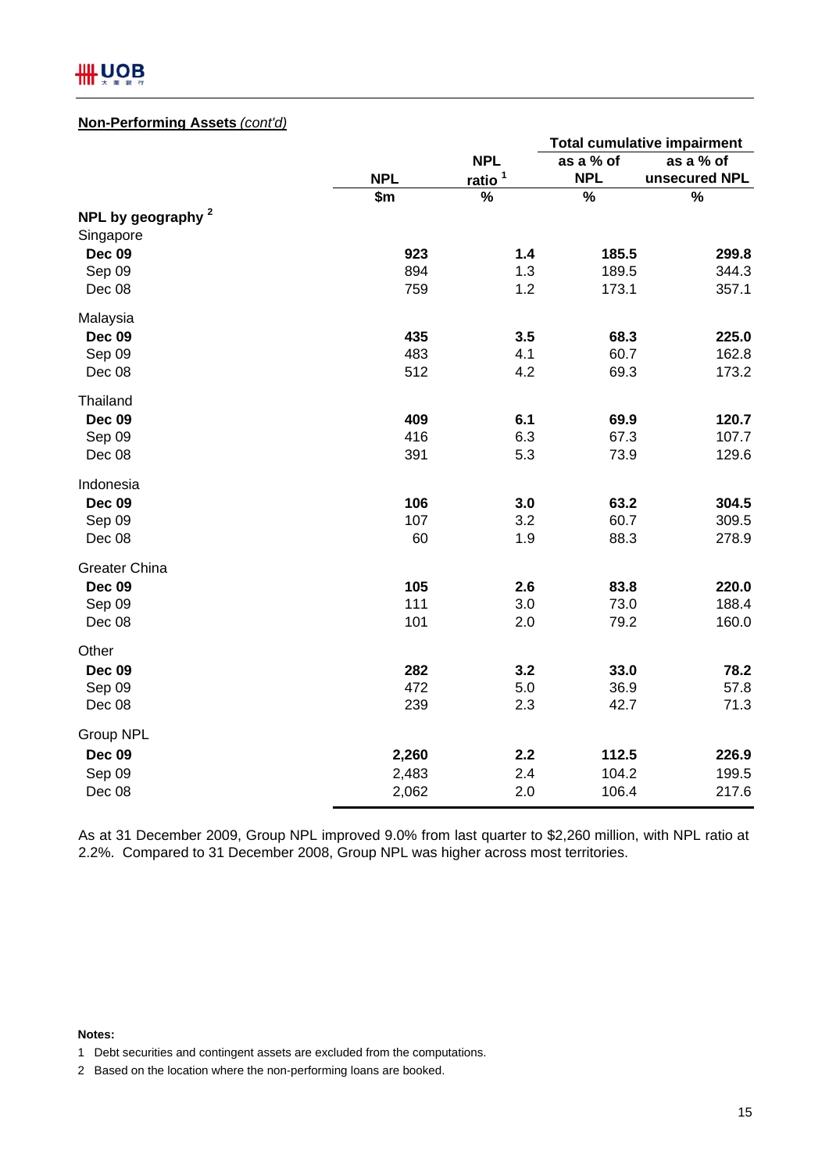# **IIII UOB**

# **Non-Performing Assets** *(cont'd)*

|                               |            |                    |            | <b>Total cumulative impairment</b> |
|-------------------------------|------------|--------------------|------------|------------------------------------|
|                               |            | <b>NPL</b>         | as a % of  | as a % of                          |
|                               | <b>NPL</b> | ratio <sup>1</sup> | <b>NPL</b> | unsecured NPL                      |
|                               | \$m\$      | $\%$               | $\%$       | $\%$                               |
| NPL by geography <sup>2</sup> |            |                    |            |                                    |
| Singapore                     |            |                    |            |                                    |
| <b>Dec 09</b>                 | 923        | 1.4                | 185.5      | 299.8                              |
| Sep 09                        | 894        | 1.3                | 189.5      | 344.3                              |
| Dec 08                        | 759        | 1.2                | 173.1      | 357.1                              |
| Malaysia                      |            |                    |            |                                    |
| <b>Dec 09</b>                 | 435        | 3.5                | 68.3       | 225.0                              |
| Sep 09                        | 483        | 4.1                | 60.7       | 162.8                              |
| Dec 08                        | 512        | 4.2                | 69.3       | 173.2                              |
| Thailand                      |            |                    |            |                                    |
| <b>Dec 09</b>                 | 409        | 6.1                | 69.9       | 120.7                              |
| Sep 09                        | 416        | 6.3                | 67.3       | 107.7                              |
| Dec 08                        | 391        | 5.3                | 73.9       | 129.6                              |
| Indonesia                     |            |                    |            |                                    |
| <b>Dec 09</b>                 | 106        | 3.0                | 63.2       | 304.5                              |
| Sep 09                        | 107        | 3.2                | 60.7       | 309.5                              |
| Dec 08                        | 60         | 1.9                | 88.3       | 278.9                              |
| <b>Greater China</b>          |            |                    |            |                                    |
| <b>Dec 09</b>                 | 105        | 2.6                | 83.8       | 220.0                              |
| Sep 09                        | 111        | 3.0                | 73.0       | 188.4                              |
| Dec 08                        | 101        | 2.0                | 79.2       | 160.0                              |
| Other                         |            |                    |            |                                    |
| <b>Dec 09</b>                 | 282        | 3.2                | 33.0       | 78.2                               |
| Sep 09                        | 472        | 5.0                | 36.9       | 57.8                               |
| Dec 08                        | 239        | 2.3                | 42.7       | 71.3                               |
| Group NPL                     |            |                    |            |                                    |
| <b>Dec 09</b>                 | 2,260      | 2.2                | 112.5      | 226.9                              |
| Sep 09                        | 2,483      | 2.4                | 104.2      | 199.5                              |
| Dec 08                        | 2,062      | 2.0                | 106.4      | 217.6                              |

As at 31 December 2009, Group NPL improved 9.0% from last quarter to \$2,260 million, with NPL ratio at 2.2%. Compared to 31 December 2008, Group NPL was higher across most territories.

#### **Notes:**

2 Based on the location where the non-performing loans are booked.

<sup>1</sup> Debt securities and contingent assets are excluded from the computations.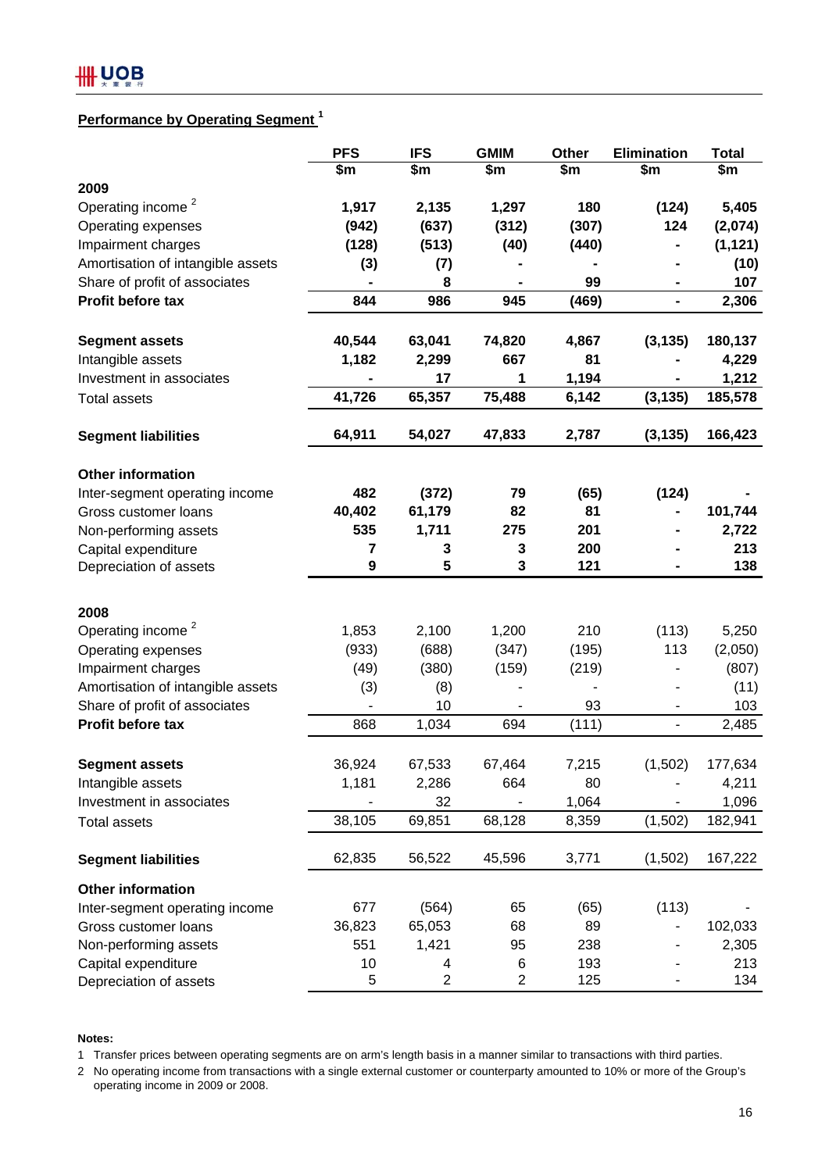# **Performance by Operating Segment**<sup>1</sup>

|                                   | <b>PFS</b> | <b>IFS</b>     | <b>GMIM</b> | Other | <b>Elimination</b> | <b>Total</b> |
|-----------------------------------|------------|----------------|-------------|-------|--------------------|--------------|
|                                   | \$m        | \$m            | \$m         | \$m   | \$m                | \$m          |
| 2009                              |            |                |             |       |                    |              |
| Operating income <sup>2</sup>     | 1,917      | 2,135          | 1,297       | 180   | (124)              | 5,405        |
| Operating expenses                | (942)      | (637)          | (312)       | (307) | 124                | (2,074)      |
| Impairment charges                | (128)      | (513)          | (40)        | (440) |                    | (1, 121)     |
| Amortisation of intangible assets | (3)        | (7)            |             |       |                    | (10)         |
| Share of profit of associates     |            | 8              |             | 99    |                    | 107          |
| Profit before tax                 | 844        | 986            | 945         | (469) | -                  | 2,306        |
| <b>Segment assets</b>             | 40,544     | 63,041         | 74,820      | 4,867 | (3, 135)           | 180,137      |
| Intangible assets                 | 1,182      | 2,299          | 667         | 81    |                    | 4,229        |
| Investment in associates          |            | 17             | 1           | 1,194 |                    | 1,212        |
| <b>Total assets</b>               | 41,726     | 65,357         | 75,488      | 6,142 | (3, 135)           | 185,578      |
| <b>Segment liabilities</b>        | 64,911     | 54,027         | 47,833      | 2,787 | (3, 135)           | 166,423      |
| <b>Other information</b>          |            |                |             |       |                    |              |
| Inter-segment operating income    | 482        | (372)          | 79          | (65)  | (124)              |              |
| Gross customer loans              | 40,402     | 61,179         | 82          | 81    |                    | 101,744      |
| Non-performing assets             | 535        | 1,711          | 275         | 201   |                    | 2,722        |
| Capital expenditure               | 7          | 3              | 3           | 200   |                    | 213          |
| Depreciation of assets            | 9          | 5              | 3           | 121   |                    | 138          |
| 2008                              |            |                |             |       |                    |              |
| Operating income <sup>2</sup>     | 1,853      | 2,100          | 1,200       | 210   | (113)              | 5,250        |
| Operating expenses                | (933)      | (688)          | (347)       | (195) | 113                | (2,050)      |
| Impairment charges                | (49)       | (380)          | (159)       | (219) |                    | (807)        |
| Amortisation of intangible assets | (3)        | (8)            |             |       |                    | (11)         |
| Share of profit of associates     |            | 10             |             | 93    | ۰                  | 103          |
| Profit before tax                 | 868        | 1,034          | 694         | (111) | $\overline{a}$     | 2,485        |
| <b>Segment assets</b>             | 36,924     | 67,533         | 67,464      | 7,215 | (1,502)            | 177,634      |
| Intangible assets                 | 1,181      | 2,286          | 664         | 80    |                    | 4,211        |
| Investment in associates          |            | 32             |             | 1,064 |                    | 1,096        |
| <b>Total assets</b>               | 38,105     | 69,851         | 68,128      | 8,359 | (1,502)            | 182,941      |
|                                   |            |                |             |       |                    |              |
| <b>Segment liabilities</b>        | 62,835     | 56,522         | 45,596      | 3,771 | (1,502)            | 167,222      |
| <b>Other information</b>          |            |                |             |       |                    |              |
| Inter-segment operating income    | 677        | (564)          | 65          | (65)  | (113)              |              |
| Gross customer loans              | 36,823     | 65,053         | 68          | 89    |                    | 102,033      |
| Non-performing assets             | 551        | 1,421          | 95          | 238   |                    | 2,305        |
| Capital expenditure               | 10         | 4              | 6           | 193   |                    | 213          |
| Depreciation of assets            | 5          | $\overline{2}$ | 2           | 125   |                    | 134          |

#### **Notes:**

1 Transfer prices between operating segments are on arm's length basis in a manner similar to transactions with third parties.

2 No operating income from transactions with a single external customer or counterparty amounted to 10% or more of the Group's operating income in 2009 or 2008.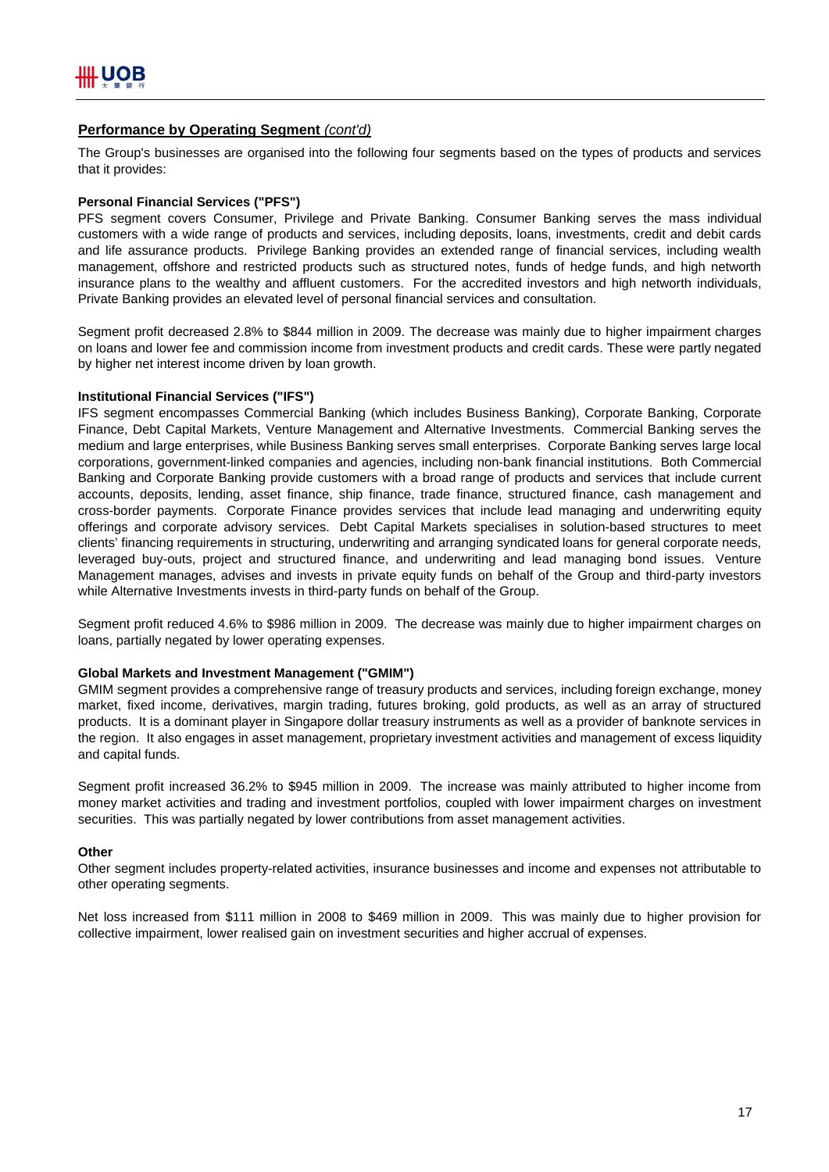# **Performance by Operating Segment** *(cont'd)*

The Group's businesses are organised into the following four segments based on the types of products and services that it provides:

### **Personal Financial Services ("PFS")**

PFS segment covers Consumer, Privilege and Private Banking. Consumer Banking serves the mass individual customers with a wide range of products and services, including deposits, loans, investments, credit and debit cards and life assurance products. Privilege Banking provides an extended range of financial services, including wealth management, offshore and restricted products such as structured notes, funds of hedge funds, and high networth insurance plans to the wealthy and affluent customers. For the accredited investors and high networth individuals, Private Banking provides an elevated level of personal financial services and consultation.

Segment profit decreased 2.8% to \$844 million in 2009. The decrease was mainly due to higher impairment charges on loans and lower fee and commission income from investment products and credit cards. These were partly negated by higher net interest income driven by loan growth.

### **Institutional Financial Services ("IFS")**

IFS segment encompasses Commercial Banking (which includes Business Banking), Corporate Banking, Corporate Finance, Debt Capital Markets, Venture Management and Alternative Investments. Commercial Banking serves the medium and large enterprises, while Business Banking serves small enterprises. Corporate Banking serves large local corporations, government-linked companies and agencies, including non-bank financial institutions. Both Commercial Banking and Corporate Banking provide customers with a broad range of products and services that include current accounts, deposits, lending, asset finance, ship finance, trade finance, structured finance, cash management and cross-border payments. Corporate Finance provides services that include lead managing and underwriting equity offerings and corporate advisory services. Debt Capital Markets specialises in solution-based structures to meet clients' financing requirements in structuring, underwriting and arranging syndicated loans for general corporate needs, leveraged buy-outs, project and structured finance, and underwriting and lead managing bond issues. Venture Management manages, advises and invests in private equity funds on behalf of the Group and third-party investors while Alternative Investments invests in third-party funds on behalf of the Group.

Segment profit reduced 4.6% to \$986 million in 2009. The decrease was mainly due to higher impairment charges on loans, partially negated by lower operating expenses.

### **Global Markets and Investment Management ("GMIM")**

GMIM segment provides a comprehensive range of treasury products and services, including foreign exchange, money market, fixed income, derivatives, margin trading, futures broking, gold products, as well as an array of structured products. It is a dominant player in Singapore dollar treasury instruments as well as a provider of banknote services in the region. It also engages in asset management, proprietary investment activities and management of excess liquidity and capital funds.

Segment profit increased 36.2% to \$945 million in 2009. The increase was mainly attributed to higher income from money market activities and trading and investment portfolios, coupled with lower impairment charges on investment securities. This was partially negated by lower contributions from asset management activities.

### **Other**

Other segment includes property-related activities, insurance businesses and income and expenses not attributable to other operating segments.

Net loss increased from \$111 million in 2008 to \$469 million in 2009. This was mainly due to higher provision for collective impairment, lower realised gain on investment securities and higher accrual of expenses.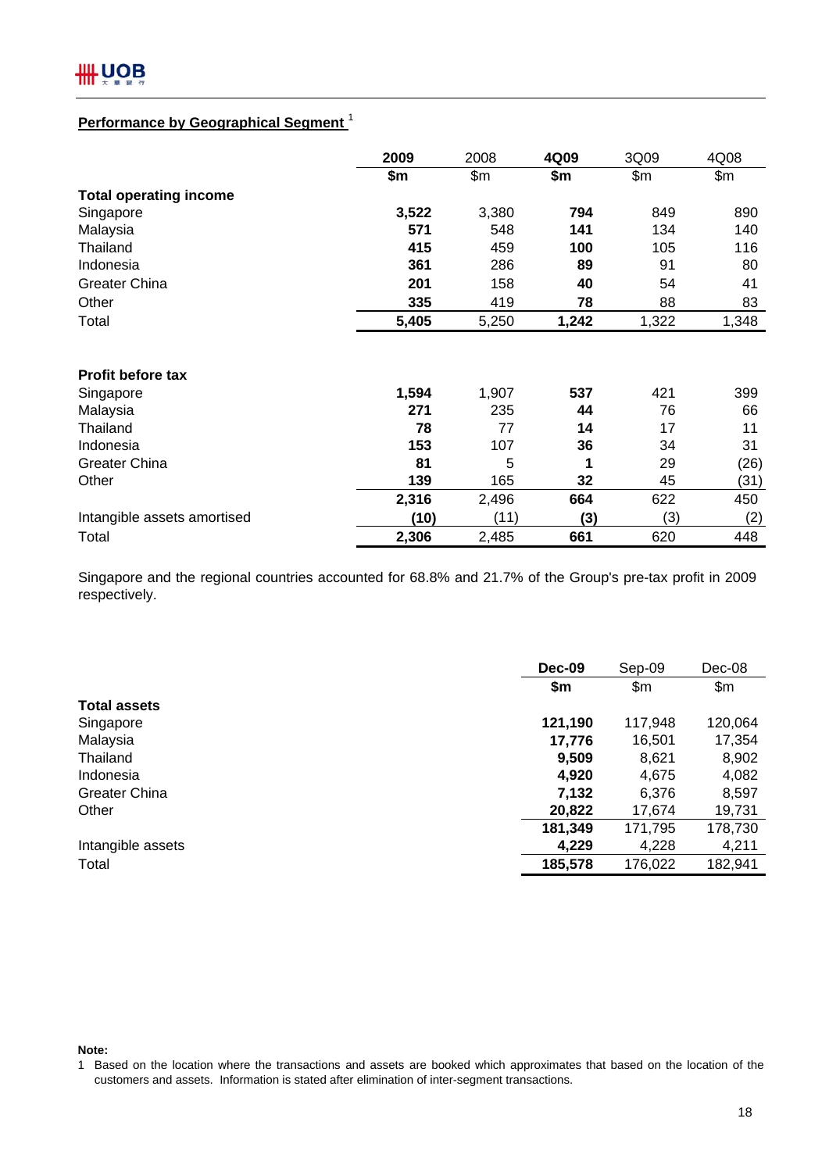# **Performance by Geographical Segment** <sup>1</sup>

|                               | 2009  | 2008  | 4Q09  | 3Q09  | 4Q08  |
|-------------------------------|-------|-------|-------|-------|-------|
|                               | \$m   | \$m   | \$m   | \$m   | \$m\$ |
| <b>Total operating income</b> |       |       |       |       |       |
| Singapore                     | 3,522 | 3,380 | 794   | 849   | 890   |
| Malaysia                      | 571   | 548   | 141   | 134   | 140   |
| Thailand                      | 415   | 459   | 100   | 105   | 116   |
| Indonesia                     | 361   | 286   | 89    | 91    | 80    |
| <b>Greater China</b>          | 201   | 158   | 40    | 54    | 41    |
| Other                         | 335   | 419   | 78    | 88    | 83    |
| Total                         | 5,405 | 5,250 | 1,242 | 1,322 | 1,348 |
|                               |       |       |       |       |       |
| <b>Profit before tax</b>      |       |       |       |       |       |
| Singapore                     | 1,594 | 1,907 | 537   | 421   | 399   |
| Malaysia                      | 271   | 235   | 44    | 76    | 66    |
| Thailand                      | 78    | 77    | 14    | 17    | 11    |
| Indonesia                     | 153   | 107   | 36    | 34    | 31    |
| <b>Greater China</b>          | 81    | 5     | 1     | 29    | (26)  |
| Other                         | 139   | 165   | 32    | 45    | (31)  |
|                               | 2,316 | 2,496 | 664   | 622   | 450   |
| Intangible assets amortised   | (10)  | (11)  | (3)   | (3)   | (2)   |
| Total                         | 2,306 | 2,485 | 661   | 620   | 448   |

Singapore and the regional countries accounted for 68.8% and 21.7% of the Group's pre-tax profit in 2009 respectively.

|                      | <b>Dec-09</b> |         | Dec-08  |
|----------------------|---------------|---------|---------|
|                      | \$m           | \$m\$   | \$m     |
| <b>Total assets</b>  |               |         |         |
| Singapore            | 121,190       | 117,948 | 120,064 |
| Malaysia             | 17,776        | 16,501  | 17,354  |
| Thailand             | 9,509         | 8,621   | 8,902   |
| Indonesia            | 4,920         | 4,675   | 4,082   |
| <b>Greater China</b> | 7,132         | 6,376   | 8,597   |
| Other                | 20,822        | 17,674  | 19,731  |
|                      | 181,349       | 171,795 | 178,730 |
| Intangible assets    | 4,229         | 4,228   | 4,211   |
| Total                | 185,578       | 176,022 | 182,941 |

**Note:**

<sup>1</sup> Based on the location where the transactions and assets are booked which approximates that based on the location of the customers and assets. Information is stated after elimination of inter-segment transactions.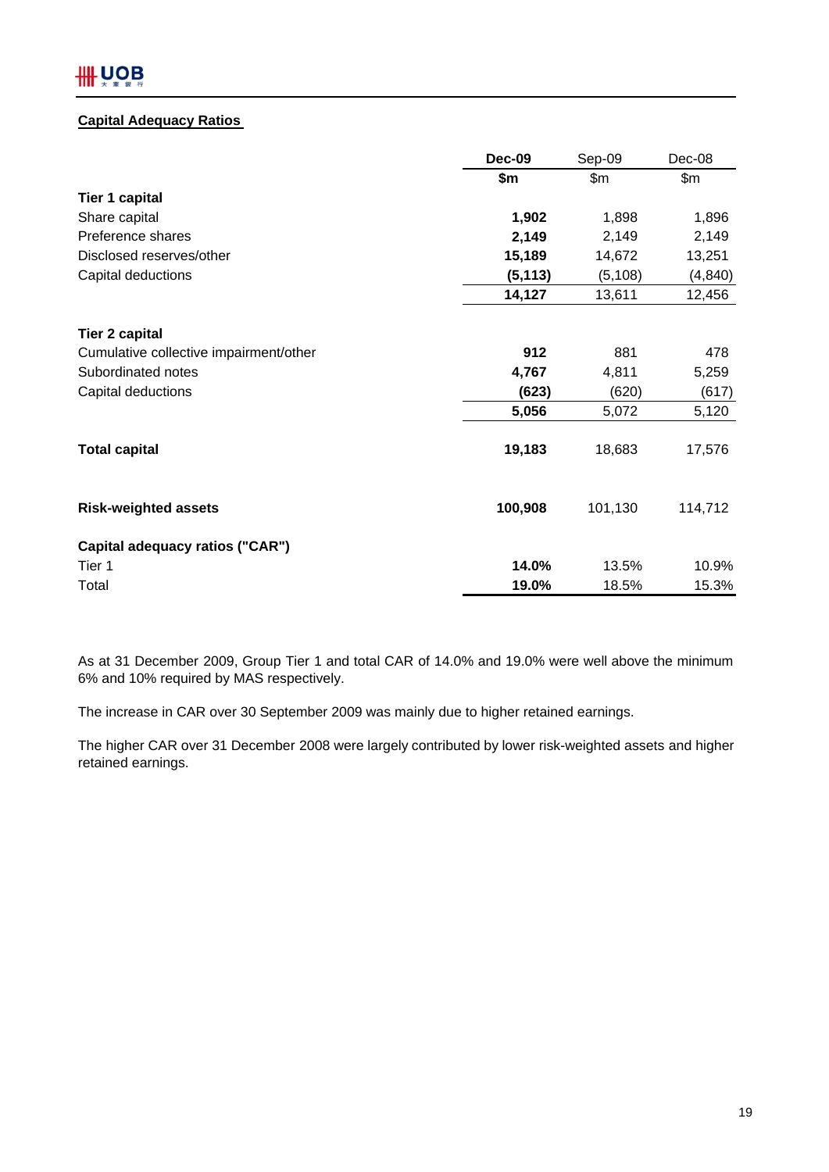# **IIII UOB**

# **Capital Adequacy Ratios**

|                                        | Dec-09   | Sep-09   | $Dec-08$ |
|----------------------------------------|----------|----------|----------|
|                                        | \$m      | \$m      | \$m\$    |
| <b>Tier 1 capital</b>                  |          |          |          |
| Share capital                          | 1,902    | 1,898    | 1,896    |
| Preference shares                      | 2,149    | 2,149    | 2,149    |
| Disclosed reserves/other               | 15,189   | 14,672   | 13,251   |
| Capital deductions                     | (5, 113) | (5, 108) | (4, 840) |
|                                        | 14,127   | 13,611   | 12,456   |
| <b>Tier 2 capital</b>                  |          |          |          |
| Cumulative collective impairment/other | 912      | 881      | 478      |
| Subordinated notes                     | 4,767    | 4,811    | 5,259    |
| Capital deductions                     | (623)    | (620)    | (617)    |
|                                        | 5,056    | 5,072    | 5,120    |
| <b>Total capital</b>                   | 19,183   | 18,683   | 17,576   |
| <b>Risk-weighted assets</b>            | 100,908  | 101,130  | 114,712  |
| Capital adequacy ratios ("CAR")        |          |          |          |
| Tier 1                                 | 14.0%    | 13.5%    | 10.9%    |
| Total                                  | 19.0%    | 18.5%    | 15.3%    |

As at 31 December 2009, Group Tier 1 and total CAR of 14.0% and 19.0% were well above the minimum 6% and 10% required by MAS respectively.

The increase in CAR over 30 September 2009 was mainly due to higher retained earnings.

The higher CAR over 31 December 2008 were largely contributed by lower risk-weighted assets and higher retained earnings.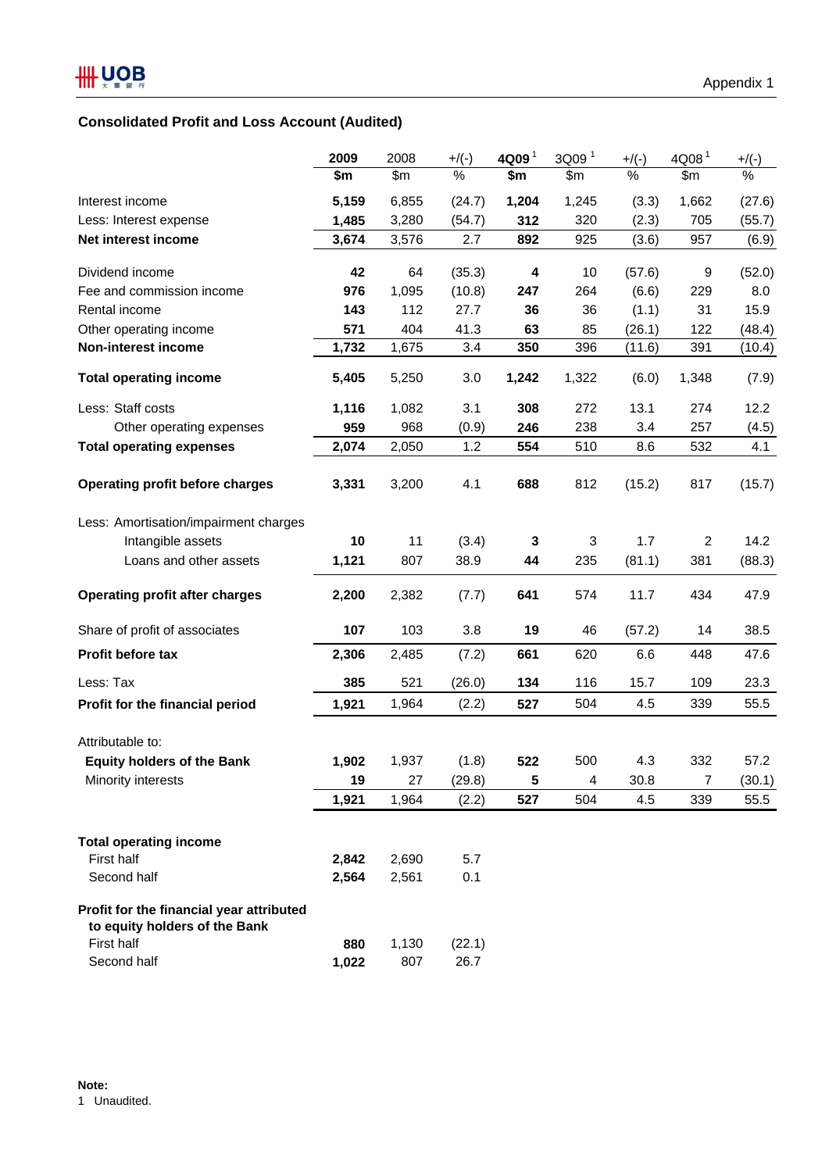# **Consolidated Profit and Loss Account (Audited)**

|                                          | 2009  | 2008  | $+$ /(-) | 4Q09 <sup>1</sup> | 3Q09 <sup>1</sup> | $+$ /(-) | 4Q08 <sup>1</sup> | $+$ /(-) |
|------------------------------------------|-------|-------|----------|-------------------|-------------------|----------|-------------------|----------|
|                                          | \$m   | \$m   | $\%$     | \$m               | \$m\$             | $\%$     | \$m\$             | $\%$     |
| Interest income                          | 5,159 | 6,855 | (24.7)   | 1,204             | 1,245             | (3.3)    | 1,662             | (27.6)   |
| Less: Interest expense                   | 1,485 | 3,280 | (54.7)   | 312               | 320               | (2.3)    | 705               | (55.7)   |
| Net interest income                      | 3,674 | 3,576 | 2.7      | 892               | 925               | (3.6)    | 957               | (6.9)    |
| Dividend income                          | 42    | 64    | (35.3)   | 4                 | 10                | (57.6)   | 9                 | (52.0)   |
| Fee and commission income                | 976   | 1,095 | (10.8)   | 247               | 264               | (6.6)    | 229               | 8.0      |
| Rental income                            | 143   | 112   | 27.7     | 36                | 36                | (1.1)    | 31                | 15.9     |
| Other operating income                   | 571   | 404   | 41.3     | 63                | 85                | (26.1)   | 122               | (48.4)   |
| Non-interest income                      | 1,732 | 1,675 | 3.4      | 350               | 396               | (11.6)   | 391               | (10.4)   |
| <b>Total operating income</b>            | 5,405 | 5,250 | 3.0      | 1,242             | 1,322             | (6.0)    | 1,348             | (7.9)    |
| Less: Staff costs                        | 1,116 | 1,082 | 3.1      | 308               | 272               | 13.1     | 274               | 12.2     |
| Other operating expenses                 | 959   | 968   | (0.9)    | 246               | 238               | 3.4      | 257               | (4.5)    |
| <b>Total operating expenses</b>          | 2,074 | 2,050 | 1.2      | 554               | 510               | 8.6      | 532               | 4.1      |
|                                          |       |       |          |                   |                   |          |                   |          |
| <b>Operating profit before charges</b>   | 3,331 | 3,200 | 4.1      | 688               | 812               | (15.2)   | 817               | (15.7)   |
| Less: Amortisation/impairment charges    |       |       |          |                   |                   |          |                   |          |
| Intangible assets                        | 10    | 11    | (3.4)    | 3                 | $\mathbf{3}$      | 1.7      | $\mathbf{2}$      | 14.2     |
| Loans and other assets                   | 1,121 | 807   | 38.9     | 44                | 235               | (81.1)   | 381               | (88.3)   |
| <b>Operating profit after charges</b>    | 2,200 | 2,382 | (7.7)    | 641               | 574               | 11.7     | 434               | 47.9     |
| Share of profit of associates            | 107   | 103   | 3.8      | 19                | 46                | (57.2)   | 14                | 38.5     |
| Profit before tax                        | 2,306 | 2,485 | (7.2)    | 661               | 620               | 6.6      | 448               | 47.6     |
| Less: Tax                                | 385   | 521   | (26.0)   | 134               | 116               | 15.7     | 109               | 23.3     |
| Profit for the financial period          | 1,921 | 1,964 | (2.2)    | 527               | 504               | 4.5      | 339               | 55.5     |
| Attributable to:                         |       |       |          |                   |                   |          |                   |          |
| <b>Equity holders of the Bank</b>        | 1,902 | 1,937 | (1.8)    | 522               | 500               | 4.3      | 332               | 57.2     |
| Minority interests                       | 19    | 27    | (29.8)   | 5                 | 4                 | 30.8     | $\overline{7}$    | (30.1)   |
|                                          | 1,921 | 1,964 | (2.2)    | 527               | 504               | 4.5      | 339               | 55.5     |
|                                          |       |       |          |                   |                   |          |                   |          |
| <b>Total operating income</b>            |       |       |          |                   |                   |          |                   |          |
| First half                               | 2,842 | 2,690 | 5.7      |                   |                   |          |                   |          |
| Second half                              | 2,564 | 2,561 | 0.1      |                   |                   |          |                   |          |
| Profit for the financial year attributed |       |       |          |                   |                   |          |                   |          |
| to equity holders of the Bank            |       |       |          |                   |                   |          |                   |          |
| First half                               | 880   | 1,130 | (22.1)   |                   |                   |          |                   |          |
| Second half                              | 1,022 | 807   | 26.7     |                   |                   |          |                   |          |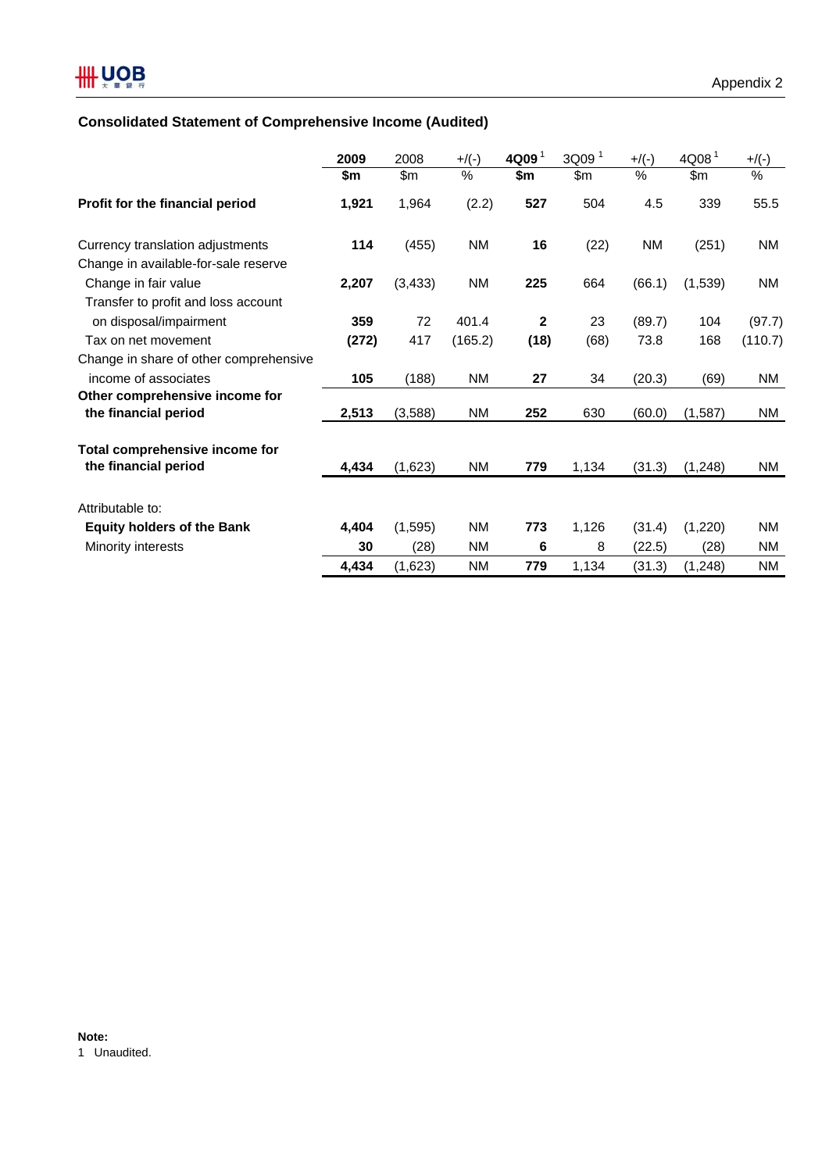# **Consolidated Statement of Comprehensive Income (Audited)**

|                                        | 2009  | 2008     | $+$ /(-)  | 4Q09 <sup>1</sup> | 3Q09 <sup>1</sup> | $+$ /(-) | 4Q08 <sup>1</sup> | $+$ /(-)  |
|----------------------------------------|-------|----------|-----------|-------------------|-------------------|----------|-------------------|-----------|
|                                        | \$m   | \$m      | %         | \$m               | \$m               | %        | \$m               | $\%$      |
| Profit for the financial period        | 1,921 | 1,964    | (2.2)     | 527               | 504               | 4.5      | 339               | 55.5      |
| Currency translation adjustments       | 114   | (455)    | NM        | 16                | (22)              | NM       | (251)             | <b>NM</b> |
| Change in available-for-sale reserve   |       |          |           |                   |                   |          |                   |           |
| Change in fair value                   | 2,207 | (3, 433) | NM        | 225               | 664               | (66.1)   | (1,539)           | <b>NM</b> |
| Transfer to profit and loss account    |       |          |           |                   |                   |          |                   |           |
| on disposal/impairment                 | 359   | 72       | 401.4     | $\mathbf{2}$      | 23                | (89.7)   | 104               | (97.7)    |
| Tax on net movement                    | (272) | 417      | (165.2)   | (18)              | (68)              | 73.8     | 168               | (110.7)   |
| Change in share of other comprehensive |       |          |           |                   |                   |          |                   |           |
| income of associates                   | 105   | (188)    | NM        | 27                | 34                | (20.3)   | (69)              | NM.       |
| Other comprehensive income for         |       |          |           |                   |                   |          |                   |           |
| the financial period                   | 2,513 | (3,588)  | NM        | 252               | 630               | (60.0)   | (1, 587)          | <b>NM</b> |
| Total comprehensive income for         |       |          |           |                   |                   |          |                   |           |
| the financial period                   | 4,434 | (1,623)  | NM        | 779               | 1,134             | (31.3)   | (1, 248)          | NM.       |
| Attributable to:                       |       |          |           |                   |                   |          |                   |           |
| <b>Equity holders of the Bank</b>      | 4,404 | (1, 595) | <b>NM</b> | 773               | 1,126             | (31.4)   | (1,220)           | <b>NM</b> |
| Minority interests                     | 30    | (28)     | <b>NM</b> | 6                 | 8                 | (22.5)   | (28)              | <b>NM</b> |
|                                        | 4,434 | (1,623)  | <b>NM</b> | 779               | 1,134             | (31.3)   | (1, 248)          | <b>NM</b> |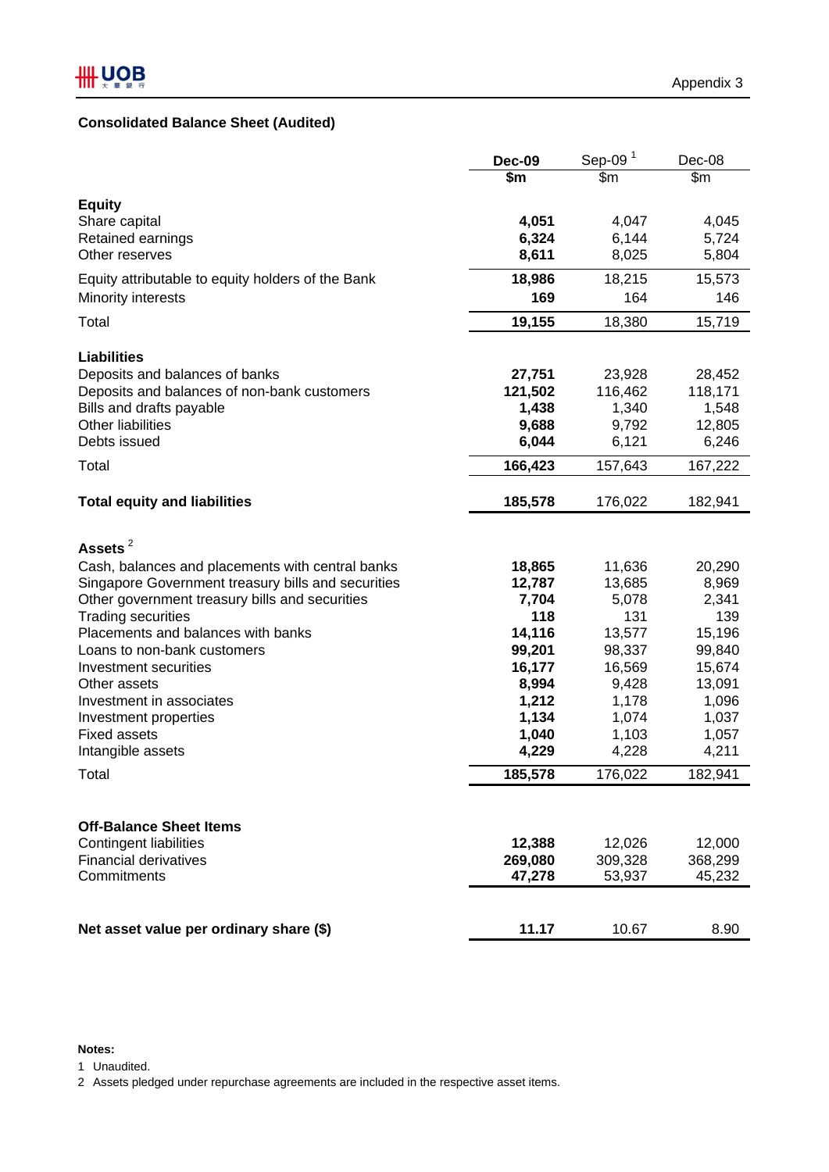# **Consolidated Balance Sheet (Audited)**

|                                                                         | <b>Dec-09</b>    | Sep-09 $1$       | Dec-08           |
|-------------------------------------------------------------------------|------------------|------------------|------------------|
|                                                                         | \$m              | \$m              | $\overline{\$m}$ |
| <b>Equity</b>                                                           |                  |                  |                  |
| Share capital                                                           | 4,051            | 4,047            | 4,045            |
| Retained earnings                                                       | 6,324            | 6,144            | 5,724            |
| Other reserves                                                          | 8,611            | 8,025            | 5,804            |
| Equity attributable to equity holders of the Bank                       | 18,986           | 18,215           | 15,573           |
| Minority interests                                                      | 169              | 164              | 146              |
|                                                                         |                  |                  |                  |
| Total                                                                   | 19,155           | 18,380           | 15,719           |
|                                                                         |                  |                  |                  |
| <b>Liabilities</b>                                                      |                  |                  |                  |
| Deposits and balances of banks                                          | 27,751           | 23,928           | 28,452           |
| Deposits and balances of non-bank customers<br>Bills and drafts payable | 121,502<br>1,438 | 116,462<br>1,340 | 118,171<br>1,548 |
| <b>Other liabilities</b>                                                | 9,688            | 9,792            | 12,805           |
| Debts issued                                                            | 6,044            | 6,121            | 6,246            |
|                                                                         |                  |                  |                  |
| Total                                                                   | 166,423          | 157,643          | 167,222          |
| <b>Total equity and liabilities</b>                                     | 185,578          | 176,022          | 182,941          |
|                                                                         |                  |                  |                  |
|                                                                         |                  |                  |                  |
| Assets $^2$                                                             |                  |                  |                  |
| Cash, balances and placements with central banks                        | 18,865           | 11,636           | 20,290           |
| Singapore Government treasury bills and securities                      | 12,787           | 13,685           | 8,969            |
| Other government treasury bills and securities                          | 7,704            | 5,078            | 2,341            |
| <b>Trading securities</b>                                               | 118              | 131              | 139              |
| Placements and balances with banks<br>Loans to non-bank customers       | 14,116<br>99,201 | 13,577           | 15,196           |
| Investment securities                                                   | 16,177           | 98,337<br>16,569 | 99,840<br>15,674 |
| Other assets                                                            | 8,994            | 9,428            | 13,091           |
| Investment in associates                                                | 1,212            | 1,178            | 1,096            |
| Investment properties                                                   | 1,134            | 1,074            | 1,037            |
| <b>Fixed assets</b>                                                     | 1,040            | 1,103            | 1,057            |
| Intangible assets                                                       | 4,229            | 4,228            | 4,211            |
| Total                                                                   | 185,578          | 176,022          | 182,941          |
|                                                                         |                  |                  |                  |
|                                                                         |                  |                  |                  |
| <b>Off-Balance Sheet Items</b>                                          |                  |                  |                  |
| <b>Contingent liabilities</b>                                           | 12,388           | 12,026           | 12,000           |
| <b>Financial derivatives</b>                                            | 269,080          | 309,328          | 368,299          |
| Commitments                                                             | 47,278           | 53,937           | 45,232           |
|                                                                         |                  |                  |                  |
|                                                                         |                  |                  |                  |
| Net asset value per ordinary share (\$)                                 | 11.17            | 10.67            | 8.90             |

### **Notes:**

1 Unaudited.

2 Assets pledged under repurchase agreements are included in the respective asset items.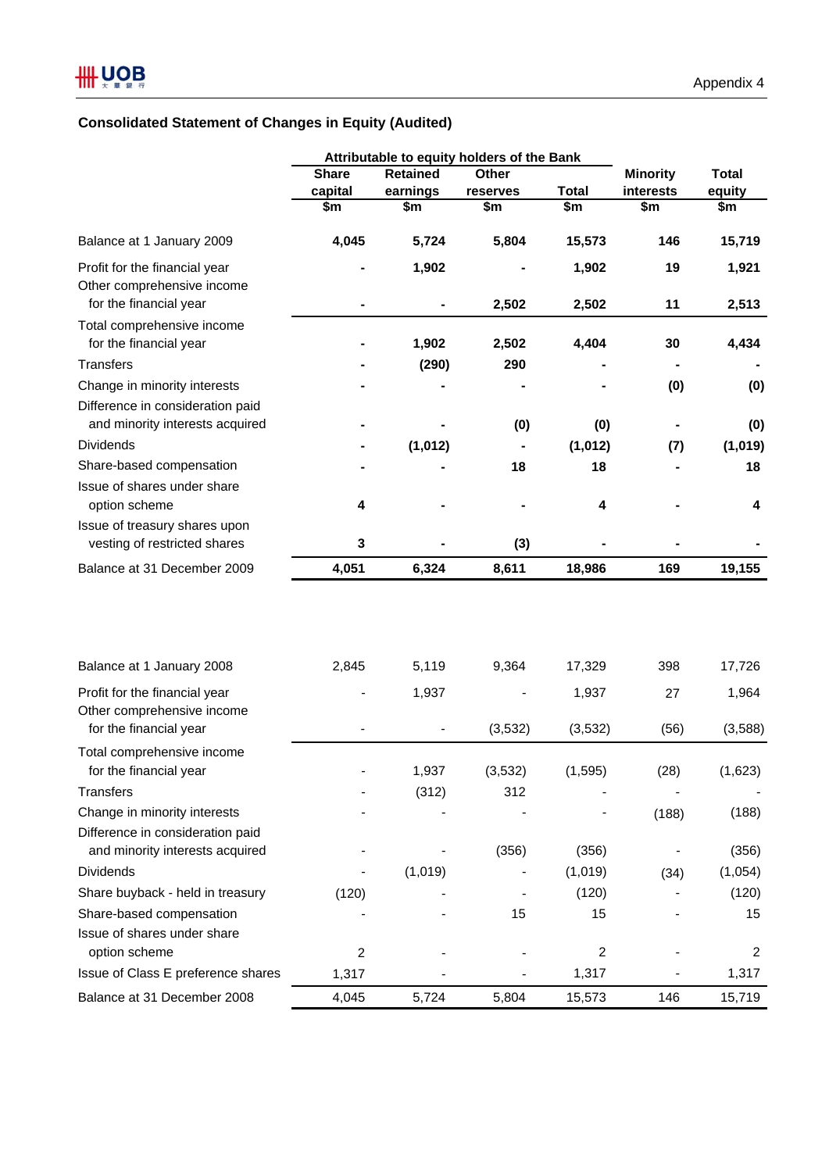# **Consolidated Statement of Changes in Equity (Audited)**

|                                                                     |                        |                 | Attributable to equity holders of the Bank |                        |                 |              |
|---------------------------------------------------------------------|------------------------|-----------------|--------------------------------------------|------------------------|-----------------|--------------|
|                                                                     | <b>Share</b>           | <b>Retained</b> | Other                                      |                        | <b>Minority</b> | <b>Total</b> |
|                                                                     | capital                | earnings        | reserves                                   | <b>Total</b>           | interests       | equity       |
|                                                                     | $\overline{\text{sm}}$ | \$m             | \$m                                        | $\overline{\text{sm}}$ | \$m             | \$m          |
| Balance at 1 January 2009                                           | 4,045                  | 5,724           | 5,804                                      | 15,573                 | 146             | 15,719       |
| Profit for the financial year<br>Other comprehensive income         |                        | 1,902           |                                            | 1,902                  | 19              | 1,921        |
| for the financial year                                              |                        |                 | 2,502                                      | 2,502                  | 11              | 2,513        |
| Total comprehensive income<br>for the financial year                |                        | 1,902           | 2,502                                      | 4,404                  | 30              | 4,434        |
| <b>Transfers</b>                                                    |                        | (290)           | 290                                        |                        |                 |              |
| Change in minority interests                                        |                        |                 |                                            |                        | (0)             | (0)          |
| Difference in consideration paid<br>and minority interests acquired |                        |                 | (0)                                        | (0)                    |                 | (0)          |
| <b>Dividends</b>                                                    |                        | (1,012)         |                                            | (1,012)                | (7)             | (1,019)      |
| Share-based compensation                                            |                        |                 | 18                                         | 18                     |                 | 18           |
| Issue of shares under share                                         |                        |                 |                                            |                        |                 |              |
| option scheme                                                       | 4                      |                 |                                            | 4                      |                 | 4            |
| Issue of treasury shares upon                                       |                        |                 |                                            |                        |                 |              |
| vesting of restricted shares<br>Balance at 31 December 2009         | 3<br>4,051             | 6,324           | (3)<br>8,611                               | 18,986                 | 169             | 19,155       |
|                                                                     |                        |                 |                                            |                        |                 |              |
| Balance at 1 January 2008                                           | 2,845                  | 5,119           | 9,364                                      | 17,329                 | 398             | 17,726       |
| Profit for the financial year                                       |                        | 1,937           |                                            | 1,937                  | 27              | 1,964        |
| Other comprehensive income                                          |                        |                 |                                            |                        |                 |              |
| for the financial year                                              |                        |                 | (3,532)                                    | (3,532)                | (56)            | (3,588)      |
| Total comprehensive income                                          |                        |                 |                                            |                        |                 |              |
| for the financial year                                              |                        | 1,937           | (3,532)                                    | (1, 595)               | (28)            | (1,623)      |
| <b>Transfers</b>                                                    |                        | (312)           | 312                                        |                        |                 |              |
| Change in minority interests                                        |                        |                 |                                            |                        | (188)           | (188)        |
| Difference in consideration paid<br>and minority interests acquired |                        |                 | (356)                                      | (356)                  |                 | (356)        |
| <b>Dividends</b>                                                    |                        | (1,019)         |                                            | (1,019)                | (34)            | (1,054)      |
| Share buyback - held in treasury                                    | (120)                  |                 |                                            | (120)                  |                 | (120)        |
| Share-based compensation                                            |                        |                 | 15                                         | 15                     |                 | 15           |
| Issue of shares under share                                         |                        |                 |                                            |                        |                 |              |
| option scheme                                                       | 2                      |                 |                                            | $\overline{c}$         |                 | 2            |
| Issue of Class E preference shares                                  | 1,317                  |                 |                                            | 1,317                  |                 | 1,317        |
| Balance at 31 December 2008                                         | 4,045                  | 5,724           | 5,804                                      | 15,573                 | 146             | 15,719       |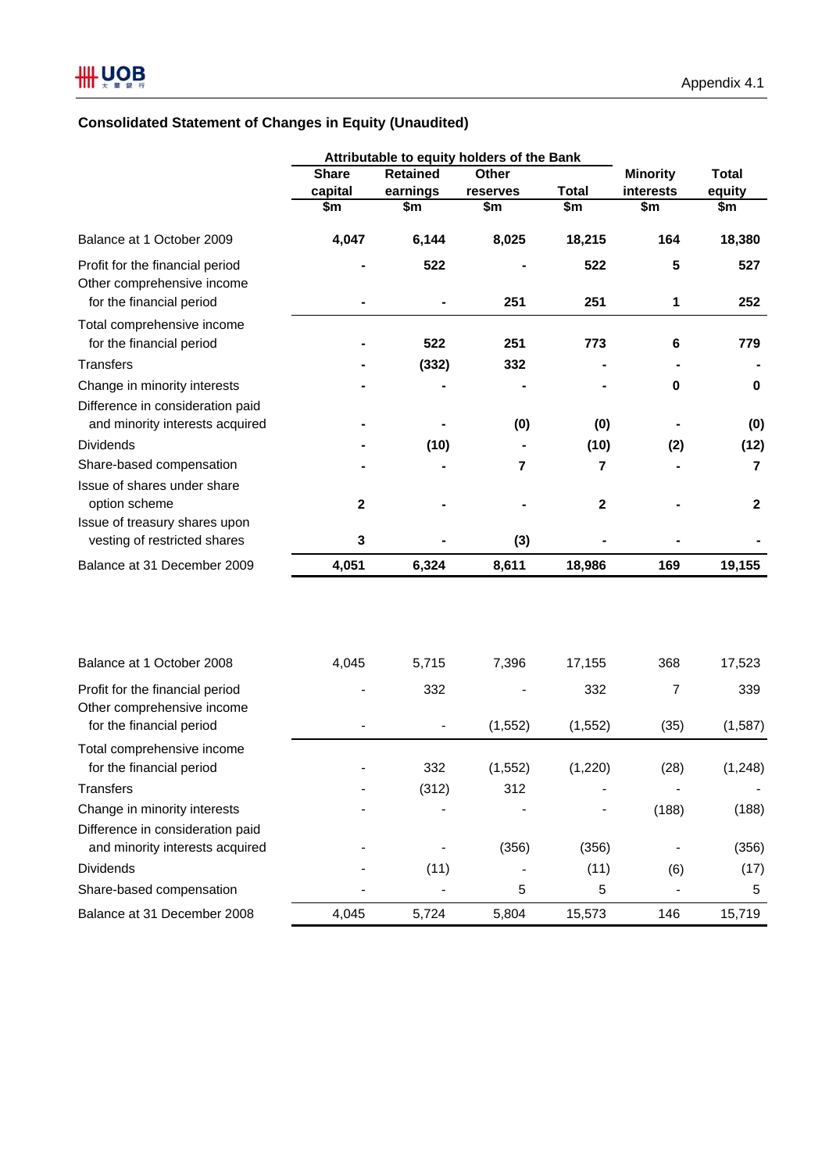# **Consolidated Statement of Changes in Equity (Unaudited)**

|                                                               | Attributable to equity holders of the Bank |                 |                         |                        |                        |              |
|---------------------------------------------------------------|--------------------------------------------|-----------------|-------------------------|------------------------|------------------------|--------------|
|                                                               | <b>Share</b>                               | <b>Retained</b> | Other                   |                        | <b>Minority</b>        | <b>Total</b> |
|                                                               | capital                                    | earnings        | reserves                | <b>Total</b>           | interests              | equity       |
|                                                               | \$m\$                                      | \$m             | \$m                     | $\overline{\text{sm}}$ | $\overline{\text{sm}}$ | \$m          |
| Balance at 1 October 2009                                     | 4,047                                      | 6,144           | 8,025                   | 18,215                 | 164                    | 18,380       |
| Profit for the financial period                               |                                            | 522             |                         | 522                    | 5                      | 527          |
| Other comprehensive income<br>for the financial period        |                                            |                 | 251                     | 251                    | 1                      | 252          |
| Total comprehensive income                                    |                                            |                 |                         |                        |                        |              |
| for the financial period                                      |                                            | 522             | 251                     | 773                    | 6                      | 779          |
| <b>Transfers</b>                                              |                                            | (332)           | 332                     |                        |                        |              |
| Change in minority interests                                  |                                            |                 |                         |                        | 0                      | 0            |
| Difference in consideration paid                              |                                            |                 |                         |                        |                        |              |
| and minority interests acquired                               |                                            |                 | (0)                     | (0)                    |                        | (0)          |
| <b>Dividends</b>                                              |                                            | (10)            |                         | (10)                   | (2)                    | (12)         |
| Share-based compensation                                      |                                            |                 | $\overline{\mathbf{r}}$ | 7                      |                        | 7            |
| Issue of shares under share                                   |                                            |                 |                         |                        |                        |              |
| option scheme                                                 | $\mathbf 2$                                |                 |                         | $\mathbf{2}$           |                        | $\mathbf{2}$ |
| Issue of treasury shares upon                                 |                                            |                 |                         |                        |                        |              |
| vesting of restricted shares                                  | 3                                          |                 | (3)                     |                        |                        |              |
| Balance at 31 December 2009                                   | 4,051                                      | 6,324           | 8,611                   | 18,986                 | 169                    | 19,155       |
|                                                               |                                            |                 |                         |                        |                        |              |
| Balance at 1 October 2008                                     | 4,045                                      | 5,715           | 7,396                   | 17,155                 | 368                    | 17,523       |
| Profit for the financial period<br>Other comprehensive income |                                            | 332             |                         | 332                    | $\overline{7}$         | 339          |
| for the financial period                                      |                                            |                 | (1, 552)                | (1, 552)               | (35)                   | (1,587)      |
| Total comprehensive income                                    |                                            |                 |                         |                        |                        |              |
| for the financial period                                      |                                            | 332             | (1, 552)                | (1,220)                | (28)                   | (1, 248)     |
| <b>Transfers</b>                                              |                                            | (312)           | 312                     |                        |                        |              |
| Change in minority interests                                  |                                            |                 |                         |                        | (188)                  | (188)        |
| Difference in consideration paid                              |                                            |                 |                         |                        |                        |              |
| and minority interests acquired                               |                                            |                 | (356)                   | (356)                  |                        | (356)        |
| Dividends                                                     |                                            | (11)            |                         | (11)                   | (6)                    | (17)         |
| Share-based compensation                                      |                                            |                 | 5                       | 5                      |                        | 5            |
| Balance at 31 December 2008                                   | 4,045                                      | 5,724           | 5,804                   | 15,573                 | 146                    | 15,719       |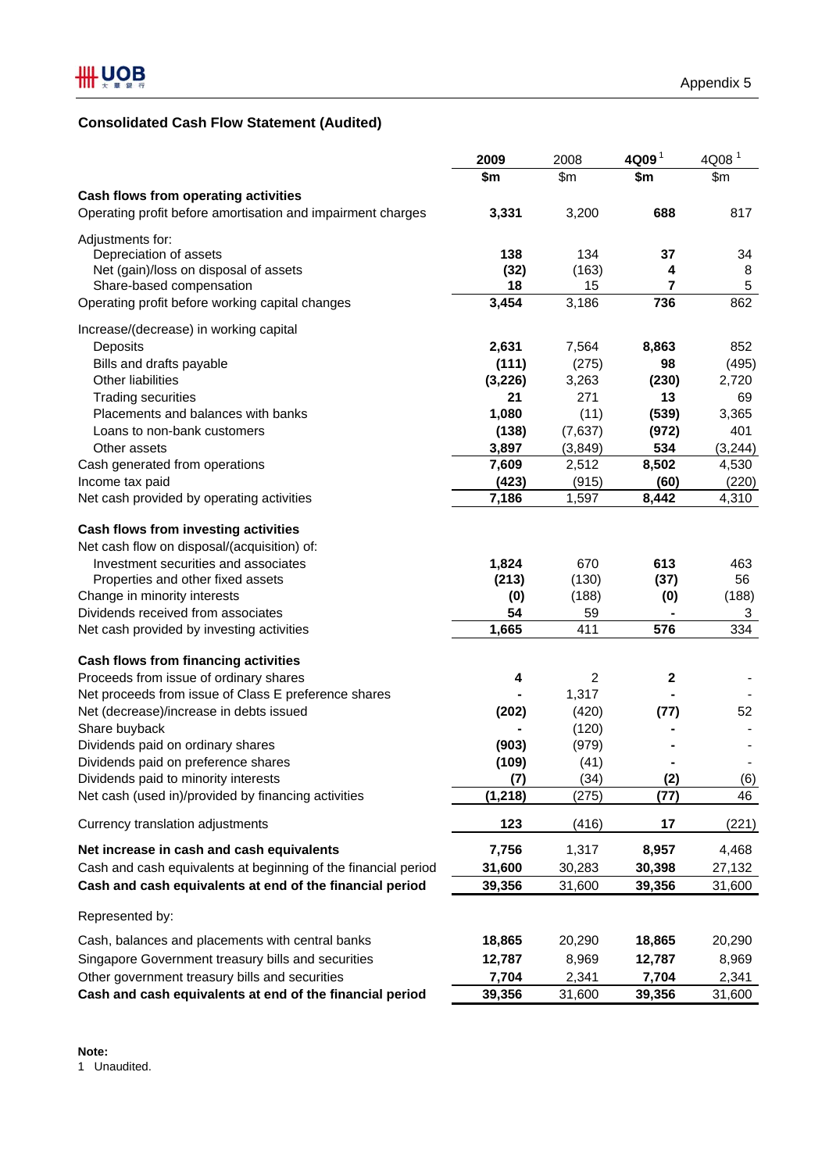# **Consolidated Cash Flow Statement (Audited)**

|                                                                | 2009     | 2008           | $4Q09$ <sup>1</sup> | 4Q08 <sup>1</sup> |
|----------------------------------------------------------------|----------|----------------|---------------------|-------------------|
|                                                                | \$m      | \$m            | \$m                 | \$m\$             |
| Cash flows from operating activities                           |          |                |                     |                   |
| Operating profit before amortisation and impairment charges    | 3,331    | 3,200          | 688                 | 817               |
| Adjustments for:                                               |          |                |                     |                   |
| Depreciation of assets                                         | 138      | 134            | 37                  | 34                |
| Net (gain)/loss on disposal of assets                          | (32)     | (163)          | 4                   | 8                 |
| Share-based compensation                                       | 18       | 15             | 7                   | 5                 |
| Operating profit before working capital changes                | 3,454    | 3,186          | 736                 | 862               |
| Increase/(decrease) in working capital                         |          |                |                     |                   |
| Deposits                                                       | 2,631    | 7,564          | 8,863               | 852               |
| Bills and drafts payable                                       | (111)    | (275)          | 98                  | (495)             |
| Other liabilities                                              | (3, 226) | 3,263          | (230)               | 2,720             |
| <b>Trading securities</b>                                      | 21       | 271            | 13                  | 69                |
| Placements and balances with banks                             | 1,080    | (11)           | (539)               | 3,365             |
| Loans to non-bank customers                                    | (138)    | (7,637)        | (972)               | 401               |
| Other assets                                                   | 3,897    | (3,849)        | 534                 | (3, 244)          |
| Cash generated from operations                                 | 7,609    | 2,512          | 8,502               | 4,530             |
| Income tax paid                                                | (423)    | (915)          | (60)                | (220)             |
| Net cash provided by operating activities                      | 7,186    | 1,597          | 8,442               | 4,310             |
|                                                                |          |                |                     |                   |
| Cash flows from investing activities                           |          |                |                     |                   |
| Net cash flow on disposal/(acquisition) of:                    |          |                |                     |                   |
| Investment securities and associates                           | 1,824    | 670            | 613                 | 463               |
| Properties and other fixed assets                              | (213)    | (130)          | (37)                | 56                |
| Change in minority interests                                   | (0)      | (188)          | (0)                 | (188)             |
| Dividends received from associates                             | 54       | 59             |                     | 3                 |
| Net cash provided by investing activities                      | 1,665    | 411            | 576                 | 334               |
| Cash flows from financing activities                           |          |                |                     |                   |
| Proceeds from issue of ordinary shares                         | 4        | $\overline{c}$ | 2                   |                   |
| Net proceeds from issue of Class E preference shares           |          | 1,317          |                     |                   |
| Net (decrease)/increase in debts issued                        | (202)    | (420)          | (77)                | 52                |
| Share buyback                                                  |          | (120)          |                     |                   |
| Dividends paid on ordinary shares                              | (903)    | (979)          |                     |                   |
| Dividends paid on preference shares                            | (109)    | (41)           |                     |                   |
| Dividends paid to minority interests                           | (7)      | (34)           | <u>(2)</u>          | (6)               |
| Net cash (used in)/provided by financing activities            | (1, 218) | (275)          | (77)                | 46                |
| Currency translation adjustments                               | 123      | (416)          | 17                  | (221)             |
| Net increase in cash and cash equivalents                      | 7,756    | 1,317          | 8,957               | 4,468             |
| Cash and cash equivalents at beginning of the financial period | 31,600   | 30,283         | 30,398              | 27,132            |
| Cash and cash equivalents at end of the financial period       | 39,356   | 31,600         | 39,356              | 31,600            |
| Represented by:                                                |          |                |                     |                   |
| Cash, balances and placements with central banks               | 18,865   |                | 18,865              | 20,290            |
|                                                                |          | 20,290         |                     |                   |
| Singapore Government treasury bills and securities             | 12,787   | 8,969          | 12,787              | 8,969             |
| Other government treasury bills and securities                 | 7,704    | 2,341          | 7,704               | 2,341             |
| Cash and cash equivalents at end of the financial period       | 39,356   | 31,600         | 39,356              | 31,600            |

1 Unaudited.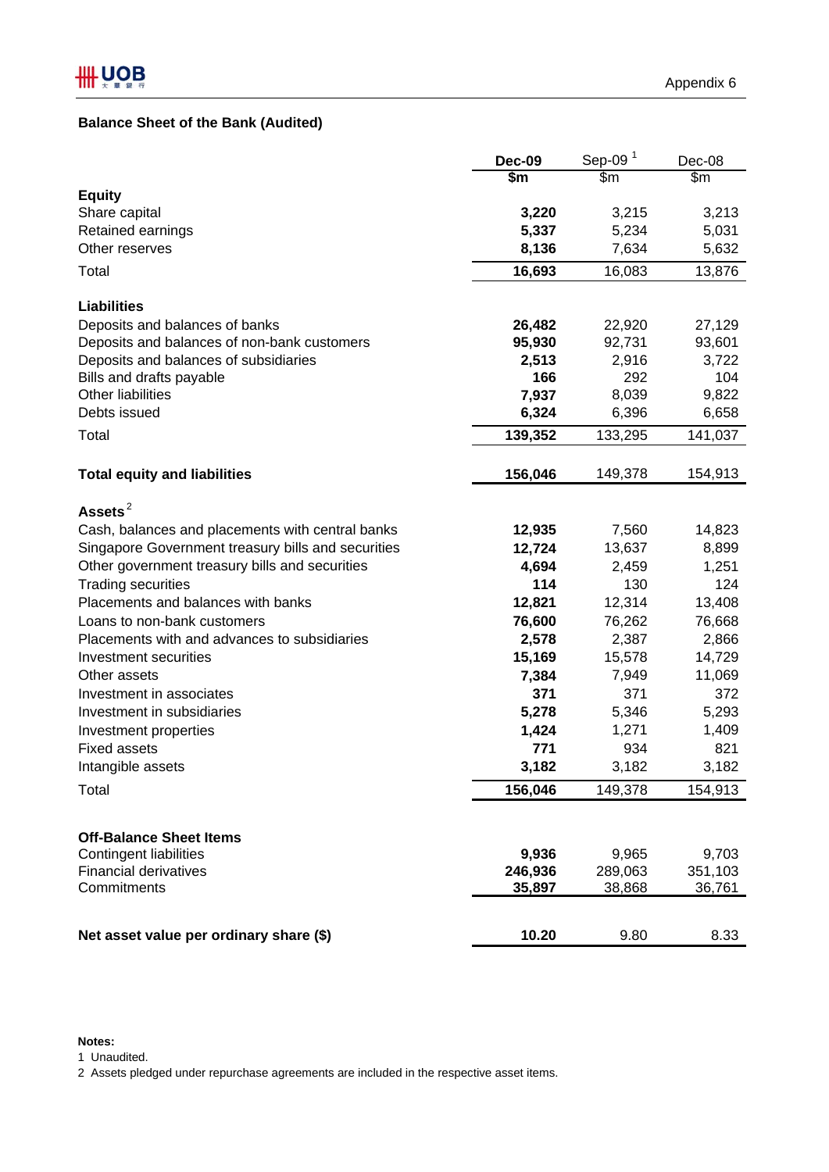# **Balance Sheet of the Bank (Audited)**

| $\frac{2}{3}$<br>$\overline{\$m}$<br>\$m\$<br><b>Equity</b><br>3,220<br>3,215<br>3,213<br>Share capital<br>Retained earnings<br>5,337<br>5,234<br>5,031<br>7,634<br>5,632<br>Other reserves<br>8,136<br>Total<br>16,693<br>16,083<br>13,876<br><b>Liabilities</b><br>Deposits and balances of banks<br>22,920<br>26,482<br>27,129<br>92,731<br>Deposits and balances of non-bank customers<br>95,930<br>93,601<br>Deposits and balances of subsidiaries<br>2,513<br>2,916<br>3,722<br>166<br>292<br>104<br>Bills and drafts payable<br><b>Other liabilities</b><br>7,937<br>8,039<br>9,822<br>Debts issued<br>6,658<br>6,324<br>6,396<br>139,352<br>Total<br>133,295<br>141,037<br>156,046<br><b>Total equity and liabilities</b><br>149,378<br>154,913<br>Assets $^2$<br>12,935<br>7,560<br>14,823<br>Cash, balances and placements with central banks<br>Singapore Government treasury bills and securities<br>12,724<br>13,637<br>8,899<br>Other government treasury bills and securities<br>4,694<br>1,251<br>2,459<br>114<br>130<br>124<br><b>Trading securities</b><br>Placements and balances with banks<br>13,408<br>12,821<br>12,314<br>76,262<br>76,668<br>Loans to non-bank customers<br>76,600<br>Placements with and advances to subsidiaries<br>2,387<br>2,866<br>2,578<br>14,729<br>Investment securities<br>15,169<br>15,578<br>7,384<br>7,949<br>11,069<br>Other assets<br>371<br>371<br>372<br>Investment in associates<br>Investment in subsidiaries<br>5,278<br>5,346<br>5,293<br>1,424<br>1,271<br>1,409<br>Investment properties<br>821<br><b>Fixed assets</b><br>771<br>934<br>3,182<br>3,182<br>3,182<br>Intangible assets<br>156,046<br>Total<br>149,378<br>154,913<br><b>Off-Balance Sheet Items</b><br><b>Contingent liabilities</b><br>9,965<br>9,703<br>9,936<br><b>Financial derivatives</b><br>351,103<br>246,936<br>289,063<br>Commitments<br>35,897<br>38,868<br>36,761 | <b>Dec-09</b> | Sep-09 $1$ | Dec-08 |
|----------------------------------------------------------------------------------------------------------------------------------------------------------------------------------------------------------------------------------------------------------------------------------------------------------------------------------------------------------------------------------------------------------------------------------------------------------------------------------------------------------------------------------------------------------------------------------------------------------------------------------------------------------------------------------------------------------------------------------------------------------------------------------------------------------------------------------------------------------------------------------------------------------------------------------------------------------------------------------------------------------------------------------------------------------------------------------------------------------------------------------------------------------------------------------------------------------------------------------------------------------------------------------------------------------------------------------------------------------------------------------------------------------------------------------------------------------------------------------------------------------------------------------------------------------------------------------------------------------------------------------------------------------------------------------------------------------------------------------------------------------------------------------------------------------------------------------------------------------------------------------------------------------|---------------|------------|--------|
|                                                                                                                                                                                                                                                                                                                                                                                                                                                                                                                                                                                                                                                                                                                                                                                                                                                                                                                                                                                                                                                                                                                                                                                                                                                                                                                                                                                                                                                                                                                                                                                                                                                                                                                                                                                                                                                                                                          |               |            |        |
|                                                                                                                                                                                                                                                                                                                                                                                                                                                                                                                                                                                                                                                                                                                                                                                                                                                                                                                                                                                                                                                                                                                                                                                                                                                                                                                                                                                                                                                                                                                                                                                                                                                                                                                                                                                                                                                                                                          |               |            |        |
|                                                                                                                                                                                                                                                                                                                                                                                                                                                                                                                                                                                                                                                                                                                                                                                                                                                                                                                                                                                                                                                                                                                                                                                                                                                                                                                                                                                                                                                                                                                                                                                                                                                                                                                                                                                                                                                                                                          |               |            |        |
|                                                                                                                                                                                                                                                                                                                                                                                                                                                                                                                                                                                                                                                                                                                                                                                                                                                                                                                                                                                                                                                                                                                                                                                                                                                                                                                                                                                                                                                                                                                                                                                                                                                                                                                                                                                                                                                                                                          |               |            |        |
|                                                                                                                                                                                                                                                                                                                                                                                                                                                                                                                                                                                                                                                                                                                                                                                                                                                                                                                                                                                                                                                                                                                                                                                                                                                                                                                                                                                                                                                                                                                                                                                                                                                                                                                                                                                                                                                                                                          |               |            |        |
|                                                                                                                                                                                                                                                                                                                                                                                                                                                                                                                                                                                                                                                                                                                                                                                                                                                                                                                                                                                                                                                                                                                                                                                                                                                                                                                                                                                                                                                                                                                                                                                                                                                                                                                                                                                                                                                                                                          |               |            |        |
|                                                                                                                                                                                                                                                                                                                                                                                                                                                                                                                                                                                                                                                                                                                                                                                                                                                                                                                                                                                                                                                                                                                                                                                                                                                                                                                                                                                                                                                                                                                                                                                                                                                                                                                                                                                                                                                                                                          |               |            |        |
|                                                                                                                                                                                                                                                                                                                                                                                                                                                                                                                                                                                                                                                                                                                                                                                                                                                                                                                                                                                                                                                                                                                                                                                                                                                                                                                                                                                                                                                                                                                                                                                                                                                                                                                                                                                                                                                                                                          |               |            |        |
|                                                                                                                                                                                                                                                                                                                                                                                                                                                                                                                                                                                                                                                                                                                                                                                                                                                                                                                                                                                                                                                                                                                                                                                                                                                                                                                                                                                                                                                                                                                                                                                                                                                                                                                                                                                                                                                                                                          |               |            |        |
|                                                                                                                                                                                                                                                                                                                                                                                                                                                                                                                                                                                                                                                                                                                                                                                                                                                                                                                                                                                                                                                                                                                                                                                                                                                                                                                                                                                                                                                                                                                                                                                                                                                                                                                                                                                                                                                                                                          |               |            |        |
|                                                                                                                                                                                                                                                                                                                                                                                                                                                                                                                                                                                                                                                                                                                                                                                                                                                                                                                                                                                                                                                                                                                                                                                                                                                                                                                                                                                                                                                                                                                                                                                                                                                                                                                                                                                                                                                                                                          |               |            |        |
|                                                                                                                                                                                                                                                                                                                                                                                                                                                                                                                                                                                                                                                                                                                                                                                                                                                                                                                                                                                                                                                                                                                                                                                                                                                                                                                                                                                                                                                                                                                                                                                                                                                                                                                                                                                                                                                                                                          |               |            |        |
|                                                                                                                                                                                                                                                                                                                                                                                                                                                                                                                                                                                                                                                                                                                                                                                                                                                                                                                                                                                                                                                                                                                                                                                                                                                                                                                                                                                                                                                                                                                                                                                                                                                                                                                                                                                                                                                                                                          |               |            |        |
|                                                                                                                                                                                                                                                                                                                                                                                                                                                                                                                                                                                                                                                                                                                                                                                                                                                                                                                                                                                                                                                                                                                                                                                                                                                                                                                                                                                                                                                                                                                                                                                                                                                                                                                                                                                                                                                                                                          |               |            |        |
|                                                                                                                                                                                                                                                                                                                                                                                                                                                                                                                                                                                                                                                                                                                                                                                                                                                                                                                                                                                                                                                                                                                                                                                                                                                                                                                                                                                                                                                                                                                                                                                                                                                                                                                                                                                                                                                                                                          |               |            |        |
|                                                                                                                                                                                                                                                                                                                                                                                                                                                                                                                                                                                                                                                                                                                                                                                                                                                                                                                                                                                                                                                                                                                                                                                                                                                                                                                                                                                                                                                                                                                                                                                                                                                                                                                                                                                                                                                                                                          |               |            |        |
|                                                                                                                                                                                                                                                                                                                                                                                                                                                                                                                                                                                                                                                                                                                                                                                                                                                                                                                                                                                                                                                                                                                                                                                                                                                                                                                                                                                                                                                                                                                                                                                                                                                                                                                                                                                                                                                                                                          |               |            |        |
|                                                                                                                                                                                                                                                                                                                                                                                                                                                                                                                                                                                                                                                                                                                                                                                                                                                                                                                                                                                                                                                                                                                                                                                                                                                                                                                                                                                                                                                                                                                                                                                                                                                                                                                                                                                                                                                                                                          |               |            |        |
|                                                                                                                                                                                                                                                                                                                                                                                                                                                                                                                                                                                                                                                                                                                                                                                                                                                                                                                                                                                                                                                                                                                                                                                                                                                                                                                                                                                                                                                                                                                                                                                                                                                                                                                                                                                                                                                                                                          |               |            |        |
|                                                                                                                                                                                                                                                                                                                                                                                                                                                                                                                                                                                                                                                                                                                                                                                                                                                                                                                                                                                                                                                                                                                                                                                                                                                                                                                                                                                                                                                                                                                                                                                                                                                                                                                                                                                                                                                                                                          |               |            |        |
|                                                                                                                                                                                                                                                                                                                                                                                                                                                                                                                                                                                                                                                                                                                                                                                                                                                                                                                                                                                                                                                                                                                                                                                                                                                                                                                                                                                                                                                                                                                                                                                                                                                                                                                                                                                                                                                                                                          |               |            |        |
|                                                                                                                                                                                                                                                                                                                                                                                                                                                                                                                                                                                                                                                                                                                                                                                                                                                                                                                                                                                                                                                                                                                                                                                                                                                                                                                                                                                                                                                                                                                                                                                                                                                                                                                                                                                                                                                                                                          |               |            |        |
|                                                                                                                                                                                                                                                                                                                                                                                                                                                                                                                                                                                                                                                                                                                                                                                                                                                                                                                                                                                                                                                                                                                                                                                                                                                                                                                                                                                                                                                                                                                                                                                                                                                                                                                                                                                                                                                                                                          |               |            |        |
|                                                                                                                                                                                                                                                                                                                                                                                                                                                                                                                                                                                                                                                                                                                                                                                                                                                                                                                                                                                                                                                                                                                                                                                                                                                                                                                                                                                                                                                                                                                                                                                                                                                                                                                                                                                                                                                                                                          |               |            |        |
|                                                                                                                                                                                                                                                                                                                                                                                                                                                                                                                                                                                                                                                                                                                                                                                                                                                                                                                                                                                                                                                                                                                                                                                                                                                                                                                                                                                                                                                                                                                                                                                                                                                                                                                                                                                                                                                                                                          |               |            |        |
|                                                                                                                                                                                                                                                                                                                                                                                                                                                                                                                                                                                                                                                                                                                                                                                                                                                                                                                                                                                                                                                                                                                                                                                                                                                                                                                                                                                                                                                                                                                                                                                                                                                                                                                                                                                                                                                                                                          |               |            |        |
|                                                                                                                                                                                                                                                                                                                                                                                                                                                                                                                                                                                                                                                                                                                                                                                                                                                                                                                                                                                                                                                                                                                                                                                                                                                                                                                                                                                                                                                                                                                                                                                                                                                                                                                                                                                                                                                                                                          |               |            |        |
|                                                                                                                                                                                                                                                                                                                                                                                                                                                                                                                                                                                                                                                                                                                                                                                                                                                                                                                                                                                                                                                                                                                                                                                                                                                                                                                                                                                                                                                                                                                                                                                                                                                                                                                                                                                                                                                                                                          |               |            |        |
|                                                                                                                                                                                                                                                                                                                                                                                                                                                                                                                                                                                                                                                                                                                                                                                                                                                                                                                                                                                                                                                                                                                                                                                                                                                                                                                                                                                                                                                                                                                                                                                                                                                                                                                                                                                                                                                                                                          |               |            |        |
|                                                                                                                                                                                                                                                                                                                                                                                                                                                                                                                                                                                                                                                                                                                                                                                                                                                                                                                                                                                                                                                                                                                                                                                                                                                                                                                                                                                                                                                                                                                                                                                                                                                                                                                                                                                                                                                                                                          |               |            |        |
|                                                                                                                                                                                                                                                                                                                                                                                                                                                                                                                                                                                                                                                                                                                                                                                                                                                                                                                                                                                                                                                                                                                                                                                                                                                                                                                                                                                                                                                                                                                                                                                                                                                                                                                                                                                                                                                                                                          |               |            |        |
|                                                                                                                                                                                                                                                                                                                                                                                                                                                                                                                                                                                                                                                                                                                                                                                                                                                                                                                                                                                                                                                                                                                                                                                                                                                                                                                                                                                                                                                                                                                                                                                                                                                                                                                                                                                                                                                                                                          |               |            |        |
|                                                                                                                                                                                                                                                                                                                                                                                                                                                                                                                                                                                                                                                                                                                                                                                                                                                                                                                                                                                                                                                                                                                                                                                                                                                                                                                                                                                                                                                                                                                                                                                                                                                                                                                                                                                                                                                                                                          |               |            |        |
|                                                                                                                                                                                                                                                                                                                                                                                                                                                                                                                                                                                                                                                                                                                                                                                                                                                                                                                                                                                                                                                                                                                                                                                                                                                                                                                                                                                                                                                                                                                                                                                                                                                                                                                                                                                                                                                                                                          |               |            |        |
|                                                                                                                                                                                                                                                                                                                                                                                                                                                                                                                                                                                                                                                                                                                                                                                                                                                                                                                                                                                                                                                                                                                                                                                                                                                                                                                                                                                                                                                                                                                                                                                                                                                                                                                                                                                                                                                                                                          |               |            |        |
|                                                                                                                                                                                                                                                                                                                                                                                                                                                                                                                                                                                                                                                                                                                                                                                                                                                                                                                                                                                                                                                                                                                                                                                                                                                                                                                                                                                                                                                                                                                                                                                                                                                                                                                                                                                                                                                                                                          |               |            |        |
|                                                                                                                                                                                                                                                                                                                                                                                                                                                                                                                                                                                                                                                                                                                                                                                                                                                                                                                                                                                                                                                                                                                                                                                                                                                                                                                                                                                                                                                                                                                                                                                                                                                                                                                                                                                                                                                                                                          |               |            |        |
| Net asset value per ordinary share (\$)<br>10.20<br>9.80<br>8.33                                                                                                                                                                                                                                                                                                                                                                                                                                                                                                                                                                                                                                                                                                                                                                                                                                                                                                                                                                                                                                                                                                                                                                                                                                                                                                                                                                                                                                                                                                                                                                                                                                                                                                                                                                                                                                         |               |            |        |

# **Notes:**

1 Unaudited.

2 Assets pledged under repurchase agreements are included in the respective asset items.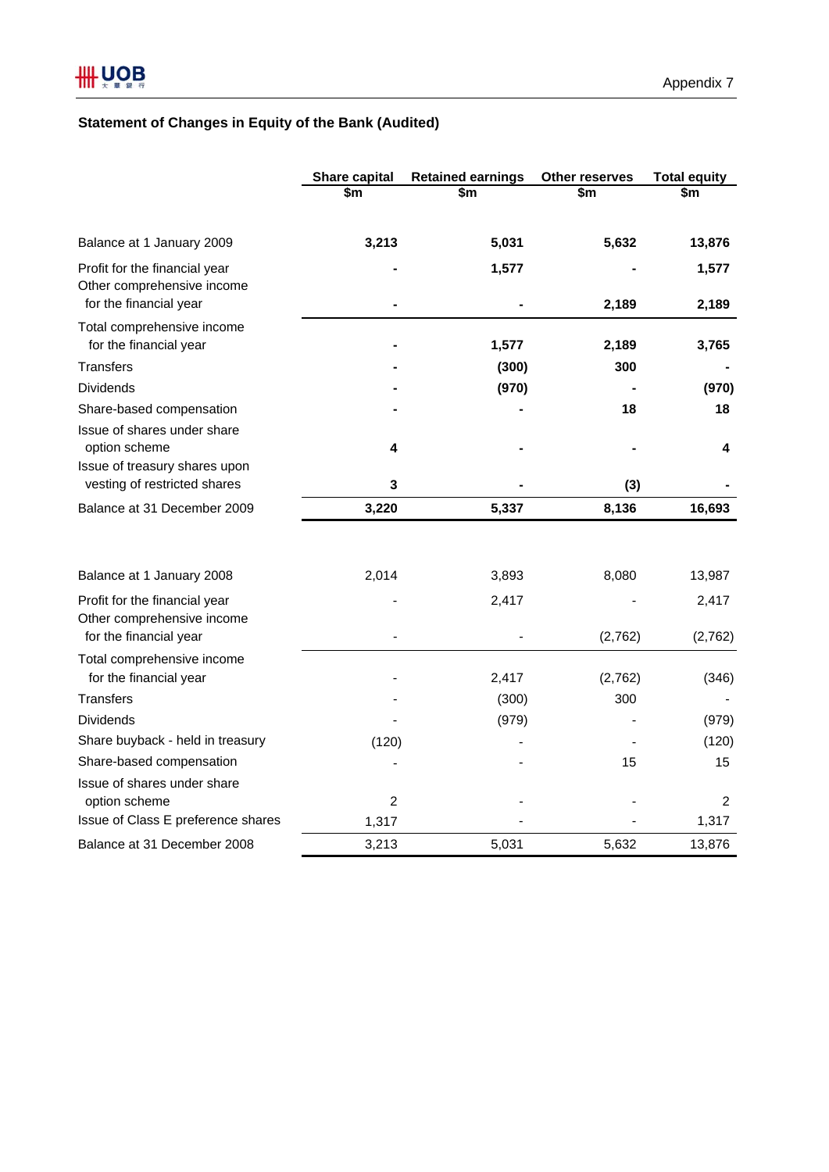# **Statement of Changes in Equity of the Bank (Audited)**

|                                                      | Share capital  | <b>Retained earnings</b> | Other reserves | <b>Total equity</b> |
|------------------------------------------------------|----------------|--------------------------|----------------|---------------------|
|                                                      | \$m            | \$m                      | \$m            | \$m                 |
| Balance at 1 January 2009                            | 3,213          | 5,031                    | 5,632          | 13,876              |
| Profit for the financial year                        |                | 1,577                    |                | 1,577               |
| Other comprehensive income                           |                |                          |                |                     |
| for the financial year                               |                |                          | 2,189          | 2,189               |
| Total comprehensive income                           |                |                          |                |                     |
| for the financial year                               |                | 1,577                    | 2,189          | 3,765               |
| <b>Transfers</b>                                     |                | (300)                    | 300            |                     |
| <b>Dividends</b>                                     |                | (970)                    |                | (970)               |
| Share-based compensation                             |                |                          | 18             | 18                  |
| Issue of shares under share                          |                |                          |                |                     |
| option scheme                                        | 4              |                          |                | 4                   |
| Issue of treasury shares upon                        |                |                          |                |                     |
| vesting of restricted shares                         | 3              |                          | (3)            |                     |
| Balance at 31 December 2009                          | 3,220          | 5,337                    | 8,136          | 16,693              |
| Balance at 1 January 2008                            | 2,014          | 3,893                    | 8,080          | 13,987              |
|                                                      |                |                          |                |                     |
| Profit for the financial year                        |                | 2,417                    |                | 2,417               |
| Other comprehensive income<br>for the financial year |                |                          | (2,762)        | (2,762)             |
| Total comprehensive income                           |                |                          |                |                     |
| for the financial year                               |                | 2,417                    | (2,762)        | (346)               |
| <b>Transfers</b>                                     |                | (300)                    | 300            |                     |
| <b>Dividends</b>                                     |                | (979)                    |                | (979)               |
| Share buyback - held in treasury                     | (120)          |                          |                | (120)               |
| Share-based compensation                             |                |                          | 15             | 15                  |
| Issue of shares under share                          |                |                          |                |                     |
| option scheme                                        | $\overline{2}$ |                          |                | 2                   |
| Issue of Class E preference shares                   | 1,317          |                          |                | 1,317               |
| Balance at 31 December 2008                          | 3,213          | 5,031                    | 5,632          | 13,876              |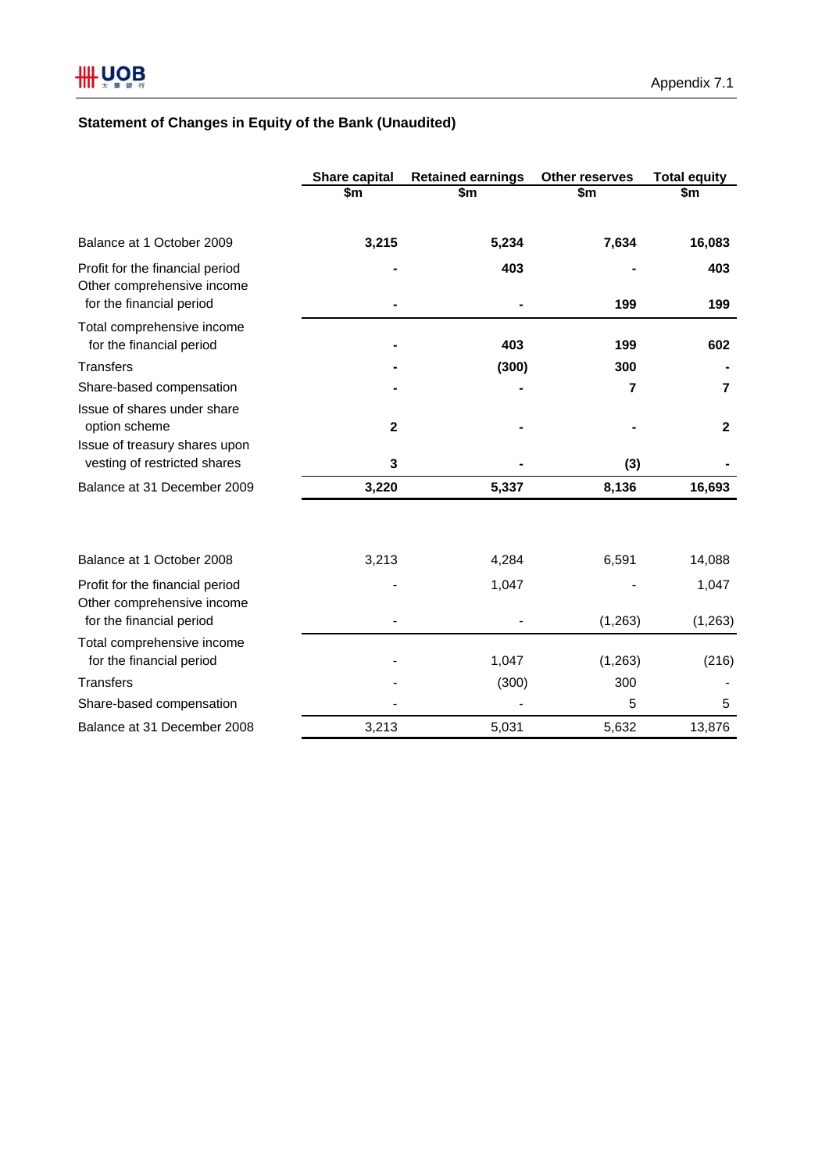# **Statement of Changes in Equity of the Bank (Unaudited)**

|                                                                                           | Share capital | <b>Retained earnings</b> | <b>Other reserves</b> | <b>Total equity</b> |
|-------------------------------------------------------------------------------------------|---------------|--------------------------|-----------------------|---------------------|
|                                                                                           | \$m           | \$m                      | \$m                   | \$m                 |
|                                                                                           |               |                          |                       |                     |
| Balance at 1 October 2009                                                                 | 3,215         | 5,234                    | 7,634                 | 16,083              |
| Profit for the financial period<br>Other comprehensive income<br>for the financial period |               | 403                      | 199                   | 403<br>199          |
| Total comprehensive income<br>for the financial period                                    |               | 403                      | 199                   | 602                 |
| Transfers                                                                                 |               | (300)                    | 300                   |                     |
| Share-based compensation                                                                  |               |                          | 7                     | $\overline{7}$      |
| Issue of shares under share<br>option scheme                                              | $\mathbf{2}$  |                          |                       | $\mathbf{2}$        |
| Issue of treasury shares upon<br>vesting of restricted shares                             | 3             |                          | (3)                   |                     |
| Balance at 31 December 2009                                                               | 3,220         | 5,337                    | 8,136                 | 16,693              |
| Balance at 1 October 2008                                                                 | 3,213         | 4,284                    | 6,591                 | 14,088              |
| Profit for the financial period<br>Other comprehensive income                             |               | 1,047                    |                       | 1,047               |
| for the financial period                                                                  |               |                          | (1,263)               | (1, 263)            |
| Total comprehensive income<br>for the financial period                                    |               | 1,047                    | (1,263)               | (216)               |
| <b>Transfers</b>                                                                          |               | (300)                    | 300                   |                     |
| Share-based compensation                                                                  |               |                          | 5                     | 5                   |
| Balance at 31 December 2008                                                               | 3,213         | 5,031                    | 5,632                 | 13,876              |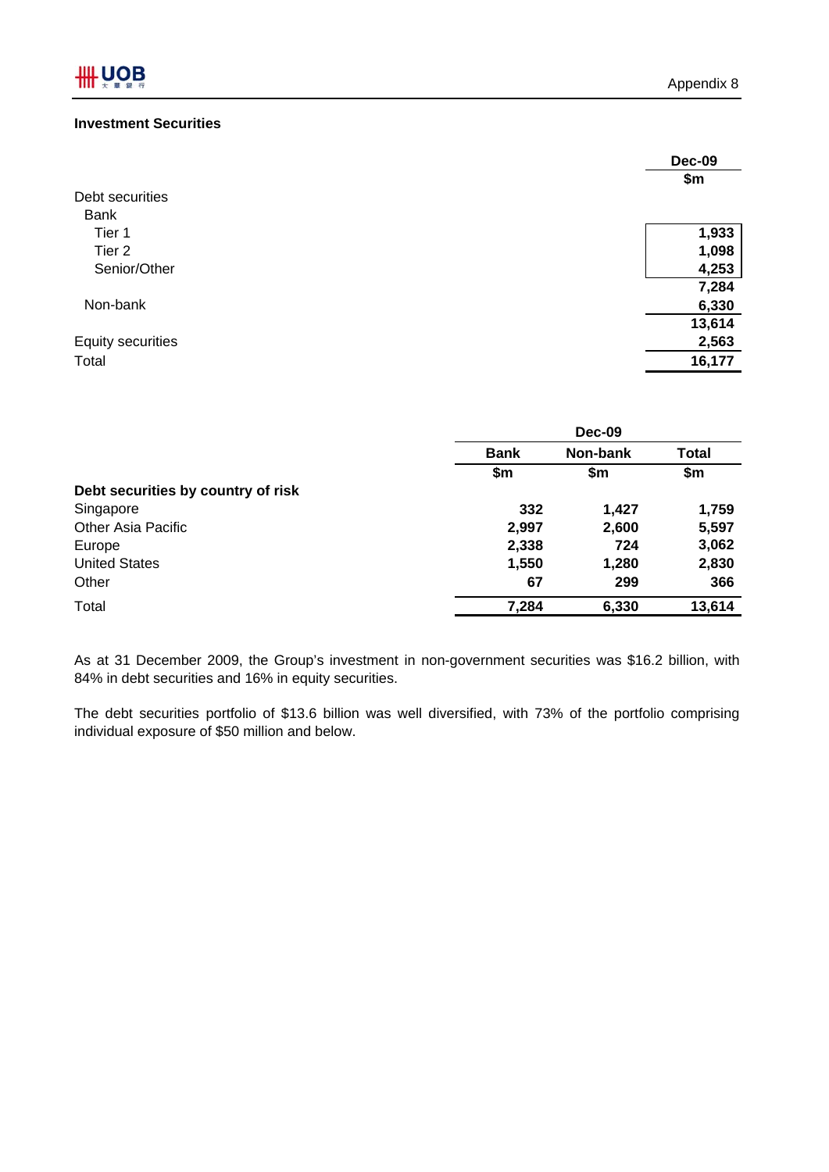# **Investment Securities**

|                          | <b>Dec-09</b> |
|--------------------------|---------------|
|                          | \$m           |
| Debt securities          |               |
| <b>Bank</b>              |               |
| Tier 1                   | 1,933         |
| Tier <sub>2</sub>        | 1,098         |
| Senior/Other             | 4,253         |
|                          | 7,284         |
| Non-bank                 | 6,330         |
|                          | 13,614        |
| <b>Equity securities</b> | 2,563         |
| Total                    | 16,177        |

|                                    | <b>Dec-09</b>           |       |              |
|------------------------------------|-------------------------|-------|--------------|
|                                    | Non-bank<br><b>Bank</b> |       | <b>Total</b> |
|                                    | \$m                     | \$m   | \$m          |
| Debt securities by country of risk |                         |       |              |
| Singapore                          | 332                     | 1,427 | 1,759        |
| <b>Other Asia Pacific</b>          | 2,997                   | 2,600 | 5,597        |
| Europe                             | 2,338                   | 724   | 3,062        |
| <b>United States</b>               | 1,550                   | 1,280 | 2,830        |
| Other                              | 67                      | 299   | 366          |
| Total                              | 7,284                   | 6,330 | 13,614       |

As at 31 December 2009, the Group's investment in non-government securities was \$16.2 billion, with 84% in debt securities and 16% in equity securities.

The debt securities portfolio of \$13.6 billion was well diversified, with 73% of the portfolio comprising individual exposure of \$50 million and below.